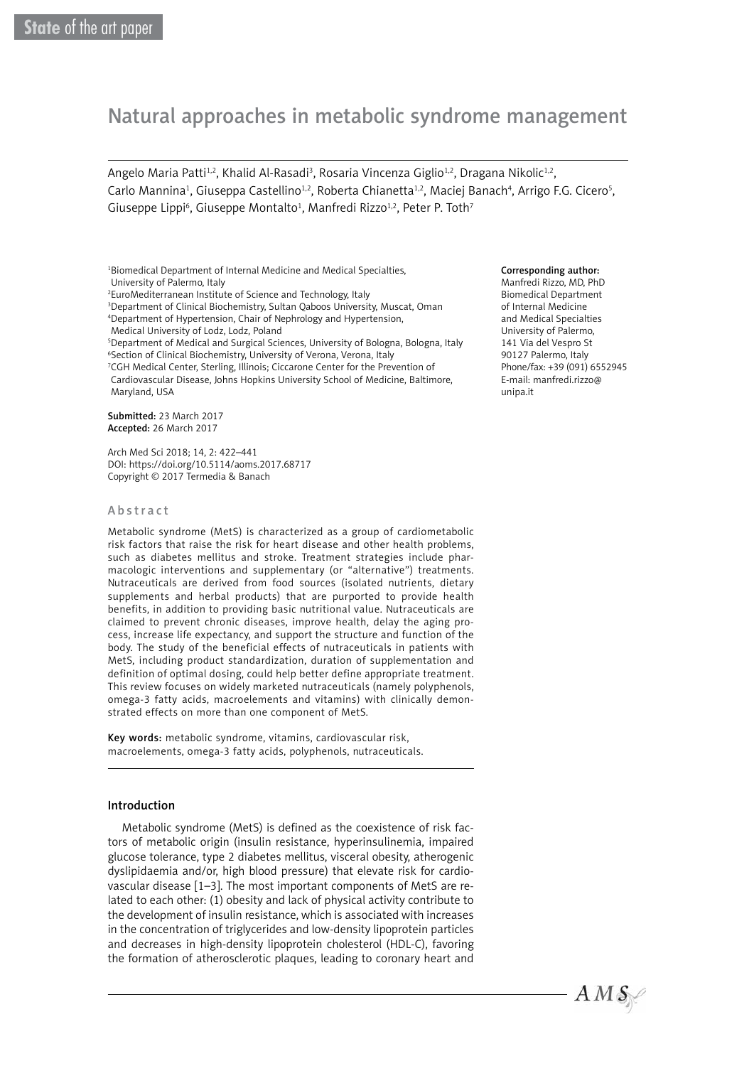# Natural approaches in metabolic syndrome management

Angelo Maria Patti<sup>1,2</sup>, Khalid Al-Rasadi<sup>3</sup>, Rosaria Vincenza Giglio<sup>1,2</sup>, Dragana Nikolic<sup>1,2</sup>, Carlo Mannina<sup>1</sup>, Giuseppa Castellino<sup>1,2</sup>, Roberta Chianetta<sup>1,2</sup>, Maciej Banach<sup>4</sup>, Arrigo F.G. Cicero<sup>5</sup>, Giuseppe Lippi<sup>6</sup>, Giuseppe Montalto<sup>1</sup>, Manfredi Rizzo<sup>1,2</sup>, Peter P. Toth<sup>7</sup>

1 Biomedical Department of Internal Medicine and Medical Specialties, University of Palermo, Italy

2 EuroMediterranean Institute of Science and Technology, Italy

3 Department of Clinical Biochemistry, Sultan Qaboos University, Muscat, Oman 4 Department of Hypertension, Chair of Nephrology and Hypertension, Medical University of Lodz, Lodz, Poland

5 Department of Medical and Surgical Sciences, University of Bologna, Bologna, Italy 6 Section of Clinical Biochemistry, University of Verona, Verona, Italy

<sup>7</sup>CGH Medical Center, Sterling, Illinois; Ciccarone Center for the Prevention of Cardiovascular Disease, Johns Hopkins University School of Medicine, Baltimore, Maryland, USA

Submitted: 23 March 2017 Accepted: 26 March 2017

Arch Med Sci 2018; 14, 2: 422–441 DOI: <https://doi.org/10.5114/aoms.2017.68717> Copyright © 2017 Termedia & Banach

#### Abstract

Metabolic syndrome (MetS) is characterized as a group of cardiometabolic risk factors that raise the risk for heart disease and other health problems, such as diabetes mellitus and stroke. Treatment strategies include pharmacologic interventions and supplementary (or "alternative") treatments. Nutraceuticals are derived from food sources (isolated nutrients, dietary supplements and herbal products) that are purported to provide health benefits, in addition to providing basic nutritional value. Nutraceuticals are claimed to prevent chronic diseases, improve health, delay the aging process, increase life expectancy, and support the structure and function of the body. The study of the beneficial effects of nutraceuticals in patients with MetS, including product standardization, duration of supplementation and definition of optimal dosing, could help better define appropriate treatment. This review focuses on widely marketed nutraceuticals (namely polyphenols, omega-3 fatty acids, macroelements and vitamins) with clinically demonstrated effects on more than one component of MetS.

Key words: metabolic syndrome, vitamins, cardiovascular risk, macroelements, omega-3 fatty acids, polyphenols, nutraceuticals.

#### Introduction

Metabolic syndrome (MetS) is defined as the coexistence of risk factors of metabolic origin (insulin resistance, hyperinsulinemia, impaired glucose tolerance, type 2 diabetes mellitus, visceral obesity, atherogenic dyslipidaemia and/or, high blood pressure) that elevate risk for cardiovascular disease [1–3]. The most important components of MetS are related to each other: (1) obesity and lack of physical activity contribute to the development of insulin resistance, which is associated with increases in the concentration of triglycerides and low-density lipoprotein particles and decreases in high-density lipoprotein cholesterol (HDL-C), favoring the formation of atherosclerotic plaques, leading to coronary heart and

#### Corresponding author:

Manfredi Rizzo, MD, PhD Biomedical Department of Internal Medicine and Medical Specialties University of Palermo, 141 Via del Vespro St 90127 Palermo, Italy Phone/fax: +39 (091) 6552945 E-mail: manfredi.rizzo@ unipa.it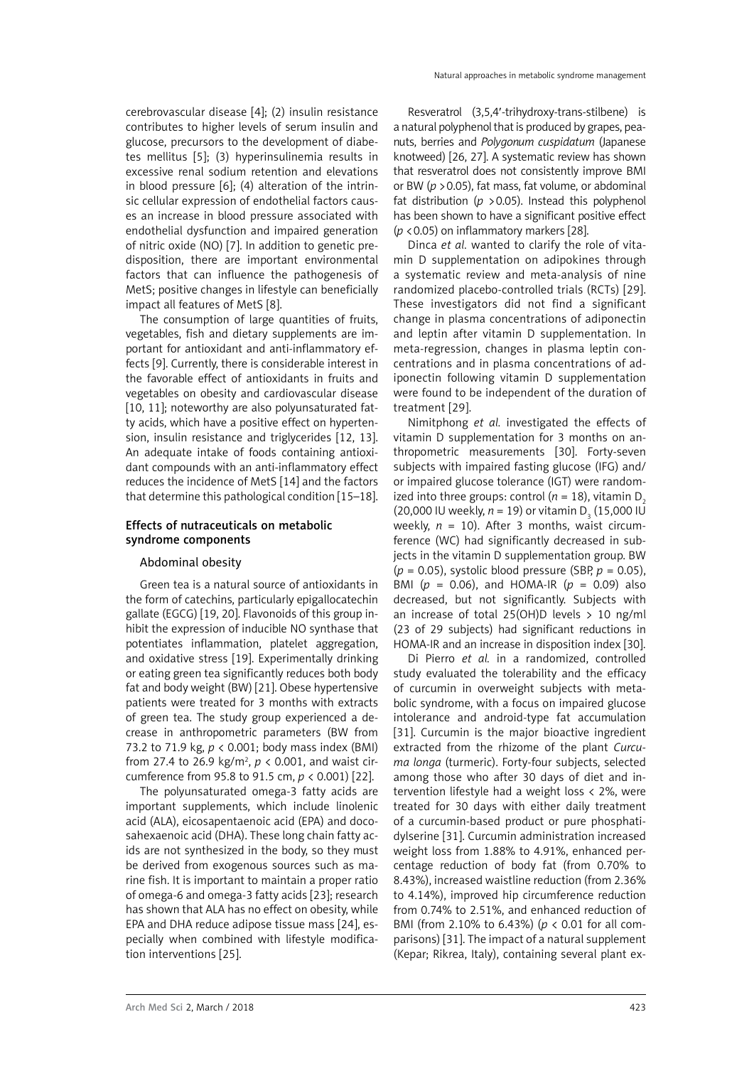cerebrovascular disease [4]; (2) insulin resistance contributes to higher levels of serum insulin and glucose, precursors to the development of diabetes mellitus [5]; (3) hyperinsulinemia results in excessive renal sodium retention and elevations in blood pressure [6]; (4) alteration of the intrinsic cellular expression of endothelial factors causes an increase in blood pressure associated with endothelial dysfunction and impaired generation of nitric oxide (NO) [7]. In addition to genetic predisposition, there are important environmental factors that can influence the pathogenesis of MetS; positive changes in lifestyle can beneficially impact all features of MetS [8].

The consumption of large quantities of fruits, vegetables, fish and dietary supplements are important for antioxidant and anti-inflammatory effects [9]. Currently, there is considerable interest in the favorable effect of antioxidants in fruits and vegetables on obesity and cardiovascular disease [10, 11]; noteworthy are also polyunsaturated fatty acids, which have a positive effect on hypertension, insulin resistance and triglycerides [12, 13]. An adequate intake of foods containing antioxidant compounds with an anti-inflammatory effect reduces the incidence of MetS [14] and the factors that determine this pathological condition [15–18].

# Effects of nutraceuticals on metabolic syndrome components

#### Abdominal obesity

Green tea is a natural source of antioxidants in the form of catechins, particularly epigallocatechin gallate (EGCG) [19, 20]. Flavonoids of this group inhibit the expression of inducible NO synthase that potentiates inflammation, platelet aggregation, and oxidative stress [19]. Experimentally drinking or eating green tea significantly reduces both body fat and body weight (BW) [21]. Obese hypertensive patients were treated for 3 months with extracts of green tea. The study group experienced a decrease in anthropometric parameters (BW from 73.2 to 71.9 kg, *p* < 0.001; body mass index (BMI) from 27.4 to 26.9  $kg/m^2$ ,  $p < 0.001$ , and waist circumference from 95.8 to 91.5 cm, *p* < 0.001) [22].

The polyunsaturated omega-3 fatty acids are important supplements, which include linolenic acid (ALA), eicosapentaenoic acid (EPA) and docosahexaenoic acid (DHA). These long chain fatty acids are not synthesized in the body, so they must be derived from exogenous sources such as marine fish. It is important to maintain a proper ratio of omega-6 and omega-3 fatty acids [23]; research has shown that ALA has no effect on obesity, while EPA and DHA reduce adipose tissue mass [24], especially when combined with lifestyle modification interventions [25].

Resveratrol (3,5,4′-trihydroxy-trans-stilbene) is a natural polyphenol that is produced by grapes, peanuts, berries and *Polygonum cuspidatum* (Japanese knotweed) [26, 27]. A systematic review has shown that resveratrol does not consistently improve BMI or BW (*p* >0.05), fat mass, fat volume, or abdominal fat distribution  $(p > 0.05)$ . Instead this polyphenol has been shown to have a significant positive effect (*p* <0.05) on inflammatory markers [28].

Dinca *et al.* wanted to clarify the role of vitamin D supplementation on adipokines through a systematic review and meta-analysis of nine randomized placebo-controlled trials (RCTs) [29]. These investigators did not find a significant change in plasma concentrations of adiponectin and leptin after vitamin D supplementation. In meta-regression, changes in plasma leptin concentrations and in plasma concentrations of adiponectin following vitamin D supplementation were found to be independent of the duration of treatment [29].

Nimitphong *et al.* investigated the effects of vitamin D supplementation for 3 months on anthropometric measurements [30]. Forty-seven subjects with impaired fasting glucose (IFG) and/ or impaired glucose tolerance (IGT) were randomized into three groups: control ( $n = 18$ ), vitamin D<sub>2</sub> (20,000 IU weekly,  $n = 19$ ) or vitamin D<sub>3</sub> (15,000 IU weekly,  $n = 10$ ). After 3 months, waist circumference (WC) had significantly decreased in subjects in the vitamin D supplementation group. BW (*p* = 0.05), systolic blood pressure (SBP, *p* = 0.05), BMI ( $p = 0.06$ ), and HOMA-IR ( $p = 0.09$ ) also decreased, but not significantly. Subjects with an increase of total 25(OH)D levels  $> 10$  ng/ml (23 of 29 subjects) had significant reductions in HOMA-IR and an increase in disposition index [30].

Di Pierro *et al.* in a randomized, controlled study evaluated the tolerability and the efficacy of curcumin in overweight subjects with metabolic syndrome, with a focus on impaired glucose intolerance and android-type fat accumulation [31]. Curcumin is the major bioactive ingredient extracted from the rhizome of the plant *Curcuma longa* (turmeric). Forty-four subjects, selected among those who after 30 days of diet and intervention lifestyle had a weight loss < 2%, were treated for 30 days with either daily treatment of a curcumin-based product or pure phosphatidylserine [31]. Curcumin administration increased weight loss from 1.88% to 4.91%, enhanced percentage reduction of body fat (from 0.70% to 8.43%), increased waistline reduction (from 2.36% to 4.14%), improved hip circumference reduction from 0.74% to 2.51%, and enhanced reduction of BMI (from 2.10% to 6.43%) (*p* < 0.01 for all comparisons) [31]. The impact of a natural supplement (Kepar; Rikrea, Italy), containing several plant ex-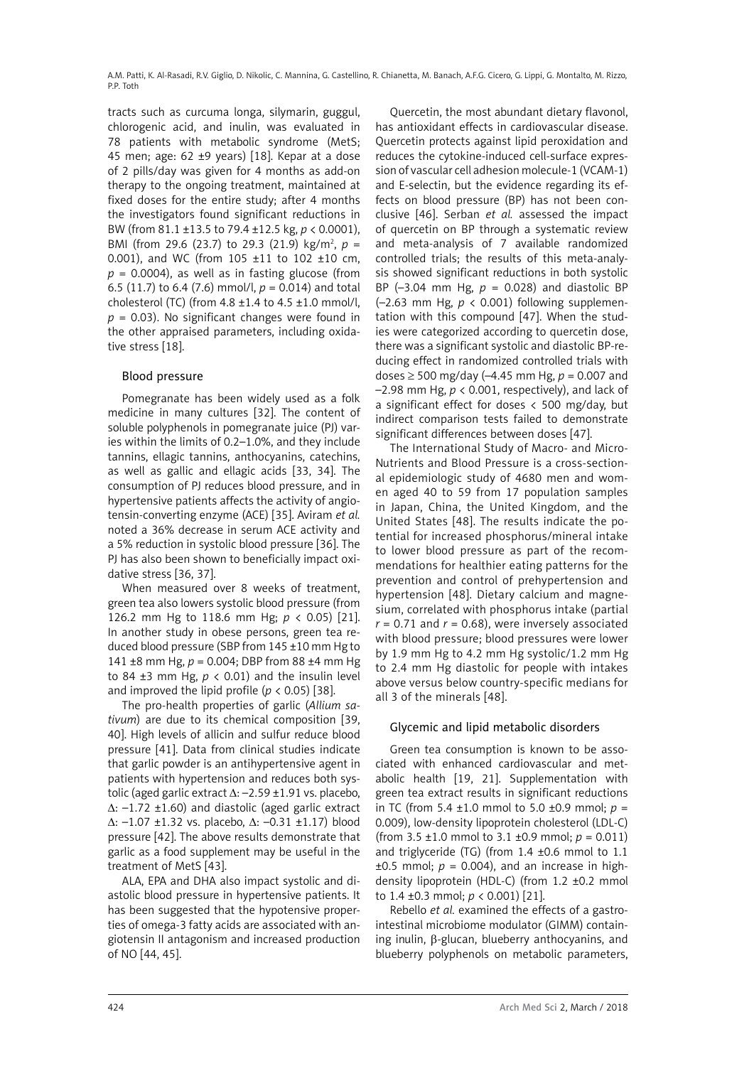tracts such as curcuma longa, silymarin, guggul, chlorogenic acid, and inulin, was evaluated in 78 patients with metabolic syndrome (MetS; 45 men; age:  $62 \pm 9$  years) [18]. Kepar at a dose of 2 pills/day was given for 4 months as add-on therapy to the ongoing treatment, maintained at fixed doses for the entire study; after 4 months the investigators found significant reductions in BW (from 81.1 ±13.5 to 79.4 ±12.5 kg, *p* < 0.0001), BMI (from 29.6 (23.7) to 29.3 (21.9) kg/m<sup>2</sup>, p = 0.001), and WC (from  $105 \pm 11$  to  $102 \pm 10$  cm,  $p = 0.0004$ ), as well as in fasting glucose (from 6.5 (11.7) to 6.4 (7.6) mmol/l,  $p = 0.014$ ) and total cholesterol (TC) (from  $4.8 \pm 1.4$  to  $4.5 \pm 1.0$  mmol/l,  $p = 0.03$ ). No significant changes were found in the other appraised parameters, including oxidative stress [18].

# Blood pressure

Pomegranate has been widely used as a folk medicine in many cultures [32]. The content of soluble polyphenols in pomegranate juice (PJ) varies within the limits of 0.2–1.0%, and they include tannins, ellagic tannins, anthocyanins, catechins, as well as gallic and ellagic acids [33, 34]. The consumption of PJ reduces blood pressure, and in hypertensive patients affects the activity of angiotensin-converting enzyme (ACE) [35]. Aviram *et al.* noted a 36% decrease in serum ACE activity and a 5% reduction in systolic blood pressure [36]. The PJ has also been shown to beneficially impact oxidative stress [36, 37].

When measured over 8 weeks of treatment, green tea also lowers systolic blood pressure (from 126.2 mm Hg to 118.6 mm Hg; *p* < 0.05) [21]. In another study in obese persons, green tea reduced blood pressure (SBP from 145 ±10 mm Hg to 141 ±8 mm Hg, *p* = 0.004; DBP from 88 ±4 mm Hg to 84  $\pm$ 3 mm Hg,  $p < 0.01$ ) and the insulin level and improved the lipid profile ( $p < 0.05$ ) [38].

The pro-health properties of garlic (*Allium sativum*) are due to its chemical composition [39, 40]. High levels of allicin and sulfur reduce blood pressure [41]. Data from clinical studies indicate that garlic powder is an antihypertensive agent in patients with hypertension and reduces both systolic (aged garlic extract  $\Delta$ : -2.59 ±1.91 vs. placebo, Δ: –1.72 ±1.60) and diastolic (aged garlic extract Δ: –1.07 ±1.32 vs. placebo, Δ: –0.31 ±1.17) blood pressure [42]. The above results demonstrate that garlic as a food supplement may be useful in the treatment of MetS [43].

ALA, EPA and DHA also impact systolic and diastolic blood pressure in hypertensive patients. It has been suggested that the hypotensive properties of omega-3 fatty acids are associated with angiotensin II antagonism and increased production of NO [44, 45].

Quercetin, the most abundant dietary flavonol, has antioxidant effects in cardiovascular disease. Quercetin protects against lipid peroxidation and reduces the cytokine-induced cell-surface expression of vascular cell adhesion molecule-1 (VCAM-1) and E-selectin, but the evidence regarding its effects on blood pressure (BP) has not been conclusive [46]. Serban *et al.* assessed the impact of quercetin on BP through a systematic review and meta-analysis of 7 available randomized controlled trials; the results of this meta-analysis showed significant reductions in both systolic BP (–3.04 mm Hg, *p* = 0.028) and diastolic BP (–2.63 mm Hg, *p* < 0.001) following supplementation with this compound [47]. When the studies were categorized according to quercetin dose, there was a significant systolic and diastolic BP-reducing effect in randomized controlled trials with doses ≥ 500 mg/day (–4.45 mm Hg, *p* = 0.007 and  $-2.98$  mm Hg,  $p < 0.001$ , respectively), and lack of a significant effect for doses  $\langle$  500 mg/day, but indirect comparison tests failed to demonstrate significant differences between doses [47].

The International Study of Macro- and Micro-Nutrients and Blood Pressure is a cross-sectional epidemiologic study of 4680 men and women aged 40 to 59 from 17 population samples in Japan, China, the United Kingdom, and the United States [48]. The results indicate the potential for increased phosphorus/mineral intake to lower blood pressure as part of the recommendations for healthier eating patterns for the prevention and control of prehypertension and hypertension [48]. Dietary calcium and magnesium, correlated with phosphorus intake (partial  $r = 0.71$  and  $r = 0.68$ ), were inversely associated with blood pressure; blood pressures were lower by 1.9 mm Hg to 4.2 mm Hg systolic/1.2 mm Hg to 2.4 mm Hg diastolic for people with intakes above versus below country-specific medians for all 3 of the minerals [48].

# Glycemic and lipid metabolic disorders

Green tea consumption is known to be associated with enhanced cardiovascular and metabolic health [19, 21]. Supplementation with green tea extract results in significant reductions in TC (from 5.4 ±1.0 mmol to 5.0 ±0.9 mmol; *p* = 0.009), low-density lipoprotein cholesterol (LDL-C) (from 3.5  $\pm$ 1.0 mmol to 3.1  $\pm$ 0.9 mmol;  $p = 0.011$ ) and triglyceride (TG) (from 1.4 ±0.6 mmol to 1.1  $\pm 0.5$  mmol;  $p = 0.004$ ), and an increase in highdensity lipoprotein (HDL-C) (from 1.2 ±0.2 mmol to 1.4 ±0.3 mmol; *p* < 0.001) [21].

Rebello *et al.* examined the effects of a gastrointestinal microbiome modulator (GIMM) containing inulin, β-glucan, blueberry anthocyanins, and blueberry polyphenols on metabolic parameters,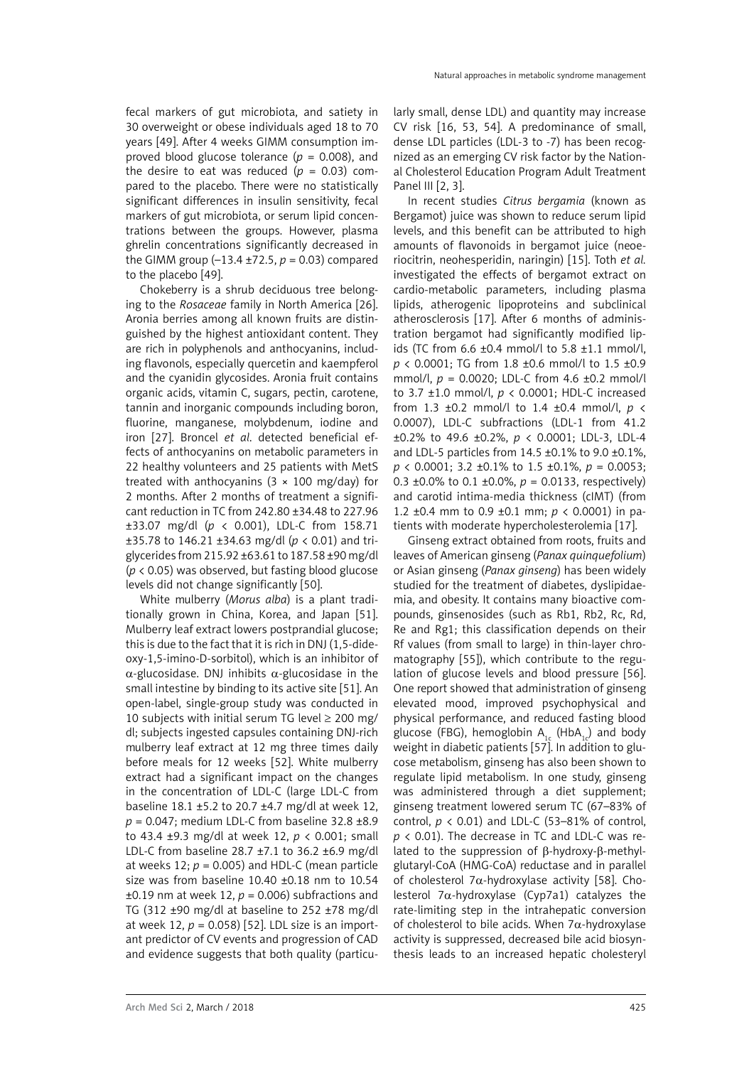fecal markers of gut microbiota, and satiety in 30 overweight or obese individuals aged 18 to 70 years [49]. After 4 weeks GIMM consumption improved blood glucose tolerance (*p* = 0.008), and the desire to eat was reduced  $(p = 0.03)$  compared to the placebo. There were no statistically significant differences in insulin sensitivity, fecal markers of gut microbiota, or serum lipid concentrations between the groups. However, plasma ghrelin concentrations significantly decreased in the GIMM group  $(-13.4 \pm 72.5, p = 0.03)$  compared to the placebo [49].

Chokeberry is a shrub deciduous tree belonging to the *Rosaceae* family in North America [26]. Aronia berries among all known fruits are distinguished by the highest antioxidant content. They are rich in polyphenols and anthocyanins, including flavonols, especially quercetin and kaempferol and the cyanidin glycosides. Aronia fruit contains organic acids, vitamin C, sugars, pectin, carotene, tannin and inorganic compounds including boron, fluorine, manganese, molybdenum, iodine and iron [27]. Broncel *et al*. detected beneficial effects of anthocyanins on metabolic parameters in 22 healthy volunteers and 25 patients with MetS treated with anthocyanins  $(3 \times 100 \text{ mg/day})$  for 2 months. After 2 months of treatment a significant reduction in TC from 242.80 ±34.48 to 227.96 ±33.07 mg/dl (*p* < 0.001), LDL-C from 158.71 ±35.78 to 146.21 ±34.63 mg/dl (*p* < 0.01) and triglycerides from 215.92 ±63.61 to 187.58 ±90 mg/dl (*p* < 0.05) was observed, but fasting blood glucose levels did not change significantly [50].

White mulberry (*Morus alba*) is a plant traditionally grown in China, Korea, and Japan [51]. Mulberry leaf extract lowers postprandial glucose; this is due to the fact that it is rich in DNJ (1,5-dideoxy-1,5-imino-D-sorbitol), which is an inhibitor of α-glucosidase. DNJ inhibits α-glucosidase in the small intestine by binding to its active site [51]. An open-label, single-group study was conducted in 10 subjects with initial serum TG level  $\geq$  200 mg/ dl; subjects ingested capsules containing DNJ-rich mulberry leaf extract at 12 mg three times daily before meals for 12 weeks [52]. White mulberry extract had a significant impact on the changes in the concentration of LDL-C (large LDL-C from baseline 18.1 ±5.2 to 20.7 ±4.7 mg/dl at week 12, *p* = 0.047; medium LDL-C from baseline 32.8 ±8.9 to 43.4 ±9.3 mg/dl at week 12, *p* < 0.001; small LDL-C from baseline 28.7 ±7.1 to 36.2 ±6.9 mg/dl at weeks 12;  $p = 0.005$ ) and HDL-C (mean particle size was from baseline 10.40 ±0.18 nm to 10.54  $\pm 0.19$  nm at week 12,  $p = 0.006$ ) subfractions and TG (312  $\pm$ 90 mg/dl at baseline to 252  $\pm$ 78 mg/dl at week 12,  $p = 0.058$  [52]. LDL size is an important predictor of CV events and progression of CAD and evidence suggests that both quality (particularly small, dense LDL) and quantity may increase CV risk [16, 53, 54]. A predominance of small, dense LDL particles (LDL-3 to -7) has been recognized as an emerging CV risk factor by the National Cholesterol Education Program Adult Treatment Panel III [2, 3].

In recent studies *Citrus bergamia* (known as Bergamot) juice was shown to reduce serum lipid levels, and this benefit can be attributed to high amounts of flavonoids in bergamot juice (neoeriocitrin, neohesperidin, naringin) [15]. Toth *et al.* investigated the effects of bergamot extract on cardio-metabolic parameters, including plasma lipids, atherogenic lipoproteins and subclinical atherosclerosis [17]. After 6 months of administration bergamot had significantly modified lipids (TC from 6.6  $\pm$ 0.4 mmol/l to 5.8  $\pm$ 1.1 mmol/l, *p* < 0.0001; TG from 1.8 ±0.6 mmol/l to 1.5 ±0.9 mmol/l, *p* = 0.0020; LDL-C from 4.6 ±0.2 mmol/l to 3.7 ±1.0 mmol/l, *p* < 0.0001; HDL-C increased from 1.3 ±0.2 mmol/l to 1.4 ±0.4 mmol/l, *p* < 0.0007), LDL-C subfractions (LDL-1 from 41.2 ±0.2% to 49.6 ±0.2%, *p* < 0.0001; LDL-3, LDL-4 and LDL-5 particles from  $14.5 \pm 0.1\%$  to  $9.0 \pm 0.1\%$ , *p* < 0.0001; 3.2 ±0.1% to 1.5 ±0.1%, *p* = 0.0053; 0.3  $\pm$ 0.0% to 0.1  $\pm$ 0.0%,  $p = 0.0133$ , respectively) and carotid intima-media thickness (cIMT) (from 1.2 ±0.4 mm to 0.9 ±0.1 mm; *p* < 0.0001) in patients with moderate hypercholesterolemia [17].

Ginseng extract obtained from roots, fruits and leaves of American ginseng (*Panax quinquefolium*) or Asian ginseng (*Panax ginseng*) has been widely studied for the treatment of diabetes, dyslipidaemia, and obesity. It contains many bioactive compounds, ginsenosides (such as Rb1, Rb2, Rc, Rd, Re and Rg1; this classification depends on their Rf values (from small to large) in thin-layer chromatography [55]), which contribute to the regulation of glucose levels and blood pressure [56]. One report showed that administration of ginseng elevated mood, improved psychophysical and physical performance, and reduced fasting blood glucose (FBG), hemoglobin  $A_{1c}$  (Hb $A_{1c}$ ) and body weight in diabetic patients [57]. In addition to glucose metabolism, ginseng has also been shown to regulate lipid metabolism. In one study, ginseng was administered through a diet supplement; ginseng treatment lowered serum TC (67–83% of control,  $p \lt 0.01$ ) and LDL-C (53-81% of control,  $p$  < 0.01). The decrease in TC and LDL-C was related to the suppression of β-hydroxy-β-methylglutaryl-CoA (HMG-CoA) reductase and in parallel of cholesterol 7 $\alpha$ -hydroxylase activity [58]. Cholesterol 7 $\alpha$ -hydroxylase (Cyp7a1) catalyzes the rate-limiting step in the intrahepatic conversion of cholesterol to bile acids. When  $7\alpha$ -hydroxylase activity is suppressed, decreased bile acid biosynthesis leads to an increased hepatic cholesteryl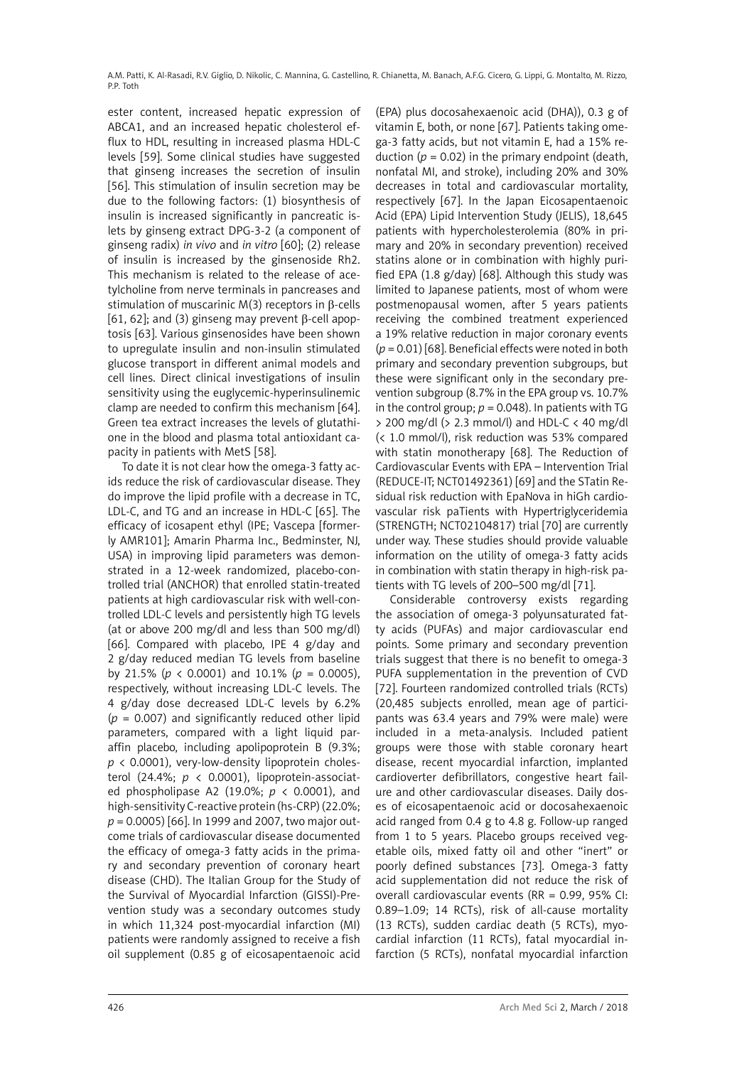ester content, increased hepatic expression of ABCA1, and an increased hepatic cholesterol efflux to HDL, resulting in increased plasma HDL-C levels [59]. Some clinical studies have suggested that ginseng increases the secretion of insulin [56]. This stimulation of insulin secretion may be due to the following factors: (1) biosynthesis of insulin is increased significantly in pancreatic islets by ginseng extract DPG-3-2 (a component of ginseng radix) *in vivo* and *in vitro* [60]; (2) release of insulin is increased by the ginsenoside Rh2. This mechanism is related to the release of acetylcholine from nerve terminals in pancreases and stimulation of muscarinic M(3) receptors in β-cells [61, 62]; and (3) ginseng may prevent β-cell apoptosis [63]. Various ginsenosides have been shown to upregulate insulin and non-insulin stimulated glucose transport in different animal models and cell lines. Direct clinical investigations of insulin sensitivity using the euglycemic-hyperinsulinemic clamp are needed to confirm this mechanism [64]. Green tea extract increases the levels of glutathione in the blood and plasma total antioxidant capacity in patients with MetS [58].

To date it is not clear how the omega-3 fatty acids reduce the risk of cardiovascular disease. They do improve the lipid profile with a decrease in TC, LDL-C, and TG and an increase in HDL-C [65]. The efficacy of icosapent ethyl (IPE; Vascepa [formerly AMR101]; Amarin Pharma Inc., Bedminster, NJ, USA) in improving lipid parameters was demonstrated in a 12-week randomized, placebo-controlled trial (ANCHOR) that enrolled statin-treated patients at high cardiovascular risk with well-controlled LDL-C levels and persistently high TG levels (at or above 200 mg/dl and less than 500 mg/dl) [66]. Compared with placebo, IPE 4 g/day and 2 g/day reduced median TG levels from baseline by 21.5% ( $p \lt 0.0001$ ) and 10.1% ( $p = 0.0005$ ), respectively, without increasing LDL-C levels. The 4 g/day dose decreased LDL-C levels by 6.2%  $(p = 0.007)$  and significantly reduced other lipid parameters, compared with a light liquid paraffin placebo, including apolipoprotein B (9.3%; *p* < 0.0001), very-low-density lipoprotein cholesterol (24.4%; *p* < 0.0001), lipoprotein-associated phospholipase A2 (19.0%; *p* < 0.0001), and high-sensitivity C-reactive protein (hs-CRP) (22.0%; *p* = 0.0005) [66]. In 1999 and 2007, two major outcome trials of cardiovascular disease documented the efficacy of omega-3 fatty acids in the primary and secondary prevention of coronary heart disease (CHD). The Italian Group for the Study of the Survival of Myocardial Infarction (GISSI)-Prevention study was a secondary outcomes study in which 11,324 post-myocardial infarction (MI) patients were randomly assigned to receive a fish oil supplement (0.85 g of eicosapentaenoic acid

(EPA) plus docosahexaenoic acid (DHA)), 0.3 g of vitamin E, both, or none [67]. Patients taking omega-3 fatty acids, but not vitamin E, had a 15% reduction ( $p = 0.02$ ) in the primary endpoint (death, nonfatal MI, and stroke), including 20% and 30% decreases in total and cardiovascular mortality, respectively [67]. In the Japan Eicosapentaenoic Acid (EPA) Lipid Intervention Study (JELIS), 18,645 patients with hypercholesterolemia (80% in primary and 20% in secondary prevention) received statins alone or in combination with highly purified EPA (1.8 g/day) [68]. Although this study was limited to Japanese patients, most of whom were postmenopausal women, after 5 years patients receiving the combined treatment experienced a 19% relative reduction in major coronary events (*p* = 0.01) [68]. Beneficial effects were noted in both primary and secondary prevention subgroups, but these were significant only in the secondary prevention subgroup (8.7% in the EPA group vs. 10.7% in the control group;  $p = 0.048$ ). In patients with TG  $>$  200 mg/dl ( $>$  2.3 mmol/l) and HDL-C  $<$  40 mg/dl (< 1.0 mmol/l), risk reduction was 53% compared with statin monotherapy [68]. The Reduction of Cardiovascular Events with EPA – Intervention Trial (REDUCE-IT; NCT01492361) [69] and the STatin Residual risk reduction with EpaNova in hiGh cardiovascular risk paTients with Hypertriglyceridemia (STRENGTH; NCT02104817) trial [70] are currently under way. These studies should provide valuable information on the utility of omega-3 fatty acids in combination with statin therapy in high-risk patients with TG levels of 200–500 mg/dl [71].

Considerable controversy exists regarding the association of omega-3 polyunsaturated fatty acids (PUFAs) and major cardiovascular end points. Some primary and secondary prevention trials suggest that there is no benefit to omega-3 PUFA supplementation in the prevention of CVD [72]. Fourteen randomized controlled trials (RCTs) (20,485 subjects enrolled, mean age of participants was 63.4 years and 79% were male) were included in a meta-analysis. Included patient groups were those with stable coronary heart disease, recent myocardial infarction, implanted cardioverter defibrillators, congestive heart failure and other cardiovascular diseases. Daily doses of eicosapentaenoic acid or docosahexaenoic acid ranged from 0.4 g to 4.8 g. Follow-up ranged from 1 to 5 years. Placebo groups received vegetable oils, mixed fatty oil and other "inert" or poorly defined substances [73]. Omega-3 fatty acid supplementation did not reduce the risk of overall cardiovascular events (RR = 0.99, 95% CI: 0.89–1.09; 14 RCTs), risk of all-cause mortality (13 RCTs), sudden cardiac death (5 RCTs), myocardial infarction (11 RCTs), fatal myocardial infarction (5 RCTs), nonfatal myocardial infarction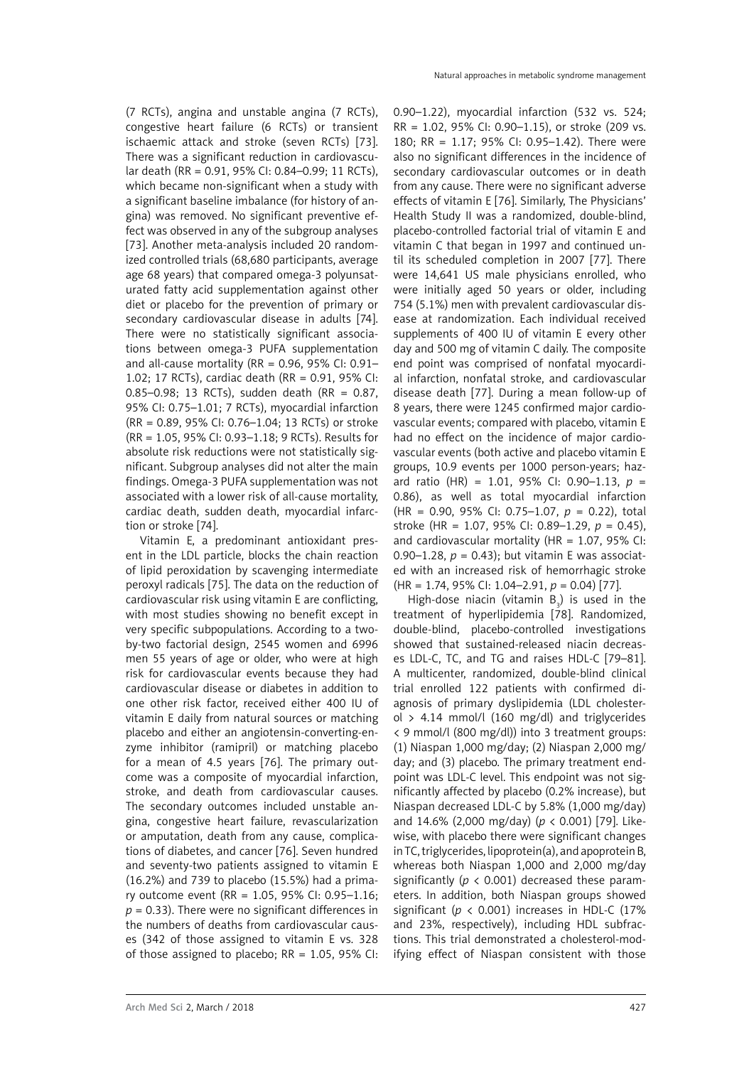(7 RCTs), angina and unstable angina (7 RCTs), congestive heart failure (6 RCTs) or transient ischaemic attack and stroke (seven RCTs) [73]. There was a significant reduction in cardiovascular death (RR = 0.91, 95% CI: 0.84–0.99; 11 RCTs), which became non-significant when a study with a significant baseline imbalance (for history of angina) was removed. No significant preventive effect was observed in any of the subgroup analyses [73]. Another meta-analysis included 20 randomized controlled trials (68,680 participants, average age 68 years) that compared omega-3 polyunsaturated fatty acid supplementation against other diet or placebo for the prevention of primary or secondary cardiovascular disease in adults [74]. There were no statistically significant associations between omega-3 PUFA supplementation and all-cause mortality (RR =  $0.96$ ,  $95\%$  CI:  $0.91-$ 1.02; 17 RCTs), cardiac death (RR = 0.91, 95% CI: 0.85–0.98; 13 RCTs), sudden death (RR = 0.87, 95% CI: 0.75–1.01; 7 RCTs), myocardial infarction (RR = 0.89, 95% CI: 0.76–1.04; 13 RCTs) or stroke (RR = 1.05, 95% CI: 0.93–1.18; 9 RCTs). Results for absolute risk reductions were not statistically significant. Subgroup analyses did not alter the main findings. Omega-3 PUFA supplementation was not associated with a lower risk of all-cause mortality, cardiac death, sudden death, myocardial infarction or stroke [74].

Vitamin E, a predominant antioxidant present in the LDL particle, blocks the chain reaction of lipid peroxidation by scavenging intermediate peroxyl radicals [75]. The data on the reduction of cardiovascular risk using vitamin E are conflicting, with most studies showing no benefit except in very specific subpopulations. According to a twoby-two factorial design, 2545 women and 6996 men 55 years of age or older, who were at high risk for cardiovascular events because they had cardiovascular disease or diabetes in addition to one other risk factor, received either 400 IU of vitamin E daily from natural sources or matching placebo and either an angiotensin-converting-enzyme inhibitor (ramipril) or matching placebo for a mean of 4.5 years [76]. The primary outcome was a composite of myocardial infarction, stroke, and death from cardiovascular causes. The secondary outcomes included unstable angina, congestive heart failure, revascularization or amputation, death from any cause, complications of diabetes, and cancer [76]. Seven hundred and seventy-two patients assigned to vitamin E (16.2%) and 739 to placebo (15.5%) had a primary outcome event (RR = 1.05, 95% CI: 0.95–1.16; *p* = 0.33). There were no significant differences in the numbers of deaths from cardiovascular causes (342 of those assigned to vitamin E vs. 328 of those assigned to placebo;  $RR = 1.05$ , 95% CI: 0.90–1.22), myocardial infarction (532 vs. 524; RR = 1.02, 95% CI: 0.90–1.15), or stroke (209 vs. 180; RR = 1.17; 95% CI: 0.95–1.42). There were also no significant differences in the incidence of secondary cardiovascular outcomes or in death from any cause. There were no significant adverse effects of vitamin E [76]. Similarly, The Physicians' Health Study II was a randomized, double-blind, placebo-controlled factorial trial of vitamin E and vitamin C that began in 1997 and continued until its scheduled completion in 2007 [77]. There were 14,641 US male physicians enrolled, who were initially aged 50 years or older, including 754 (5.1%) men with prevalent cardiovascular disease at randomization. Each individual received supplements of 400 IU of vitamin E every other day and 500 mg of vitamin C daily. The composite end point was comprised of nonfatal myocardial infarction, nonfatal stroke, and cardiovascular disease death [77]. During a mean follow-up of 8 years, there were 1245 confirmed major cardiovascular events; compared with placebo, vitamin E had no effect on the incidence of major cardiovascular events (both active and placebo vitamin E groups, 10.9 events per 1000 person-years; hazard ratio (HR) = 1.01, 95% CI: 0.90–1.13, *p* = 0.86), as well as total myocardial infarction (HR = 0.90, 95% CI: 0.75–1.07, *p* = 0.22), total stroke (HR = 1.07, 95% CI: 0.89–1.29, *p* = 0.45), and cardiovascular mortality (HR =  $1.07$ , 95% CI: 0.90–1.28,  $p = 0.43$ ; but vitamin E was associated with an increased risk of hemorrhagic stroke (HR = 1.74, 95% CI: 1.04–2.91, *p* = 0.04) [77].

High-dose niacin (vitamin  $B_3$ ) is used in the treatment of hyperlipidemia [78]. Randomized, double-blind, placebo-controlled investigations showed that sustained-released niacin decreases LDL-C, TC, and TG and raises HDL-C [79–81]. A multicenter, randomized, double-blind clinical trial enrolled 122 patients with confirmed diagnosis of primary dyslipidemia (LDL cholesterol > 4.14 mmol/l (160 mg/dl) and triglycerides < 9 mmol/l (800 mg/dl)) into 3 treatment groups: (1) Niaspan 1,000 mg/day; (2) Niaspan 2,000 mg/ day; and (3) placebo. The primary treatment endpoint was LDL-C level. This endpoint was not significantly affected by placebo (0.2% increase), but Niaspan decreased LDL-C by 5.8% (1,000 mg/day) and 14.6% (2,000 mg/day) (*p* < 0.001) [79]. Likewise, with placebo there were significant changes in TC, triglycerides, lipoprotein(a), and apoprotein B, whereas both Niaspan 1,000 and 2,000 mg/day significantly ( $p < 0.001$ ) decreased these parameters. In addition, both Niaspan groups showed significant (*p* < 0.001) increases in HDL-C (17% and 23%, respectively), including HDL subfractions. This trial demonstrated a cholesterol-modifying effect of Niaspan consistent with those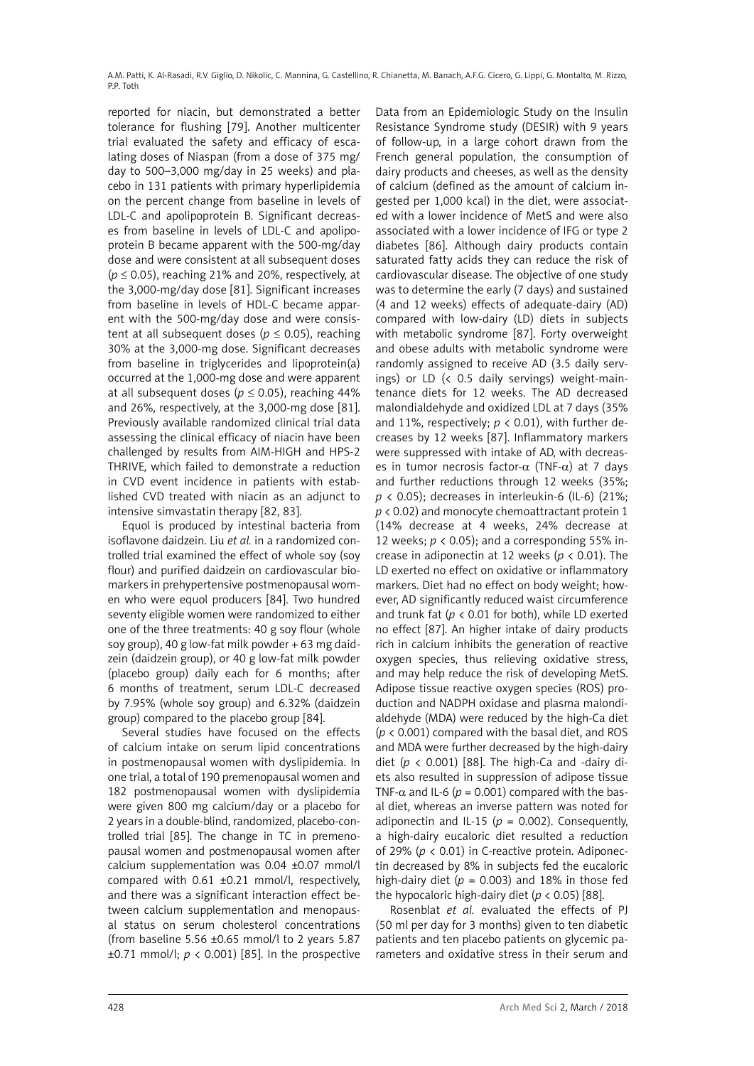reported for niacin, but demonstrated a better tolerance for flushing [79]. Another multicenter trial evaluated the safety and efficacy of escalating doses of Niaspan (from a dose of 375 mg/ day to 500–3,000 mg/day in 25 weeks) and placebo in 131 patients with primary hyperlipidemia on the percent change from baseline in levels of LDL-C and apolipoprotein B. Significant decreases from baseline in levels of LDL-C and apolipoprotein B became apparent with the 500-mg/day dose and were consistent at all subsequent doses  $(p \le 0.05)$ , reaching 21% and 20%, respectively, at the 3,000-mg/day dose [81]. Significant increases from baseline in levels of HDL-C became apparent with the 500-mg/day dose and were consistent at all subsequent doses ( $p \le 0.05$ ), reaching 30% at the 3,000-mg dose. Significant decreases from baseline in triglycerides and lipoprotein(a) occurred at the 1,000-mg dose and were apparent at all subsequent doses ( $p \le 0.05$ ), reaching 44% and 26%, respectively, at the 3,000-mg dose [81]. Previously available randomized clinical trial data assessing the clinical efficacy of niacin have been challenged by results from AIM-HIGH and HPS-2 THRIVE, which failed to demonstrate a reduction in CVD event incidence in patients with established CVD treated with niacin as an adjunct to intensive simvastatin therapy [82, 83].

Equol is produced by intestinal bacteria from isoflavone daidzein. Liu *et al.* in a randomized controlled trial examined the effect of whole soy (soy flour) and purified daidzein on cardiovascular biomarkers in prehypertensive postmenopausal women who were equol producers [84]. Two hundred seventy eligible women were randomized to either one of the three treatments: 40 g soy flour (whole soy group), 40 g low-fat milk powder  $+63$  mg daidzein (daidzein group), or 40 g low-fat milk powder (placebo group) daily each for 6 months; after 6 months of treatment, serum LDL-C decreased by 7.95% (whole soy group) and 6.32% (daidzein group) compared to the placebo group [84].

Several studies have focused on the effects of calcium intake on serum lipid concentrations in postmenopausal women with dyslipidemia. In one trial, a total of 190 premenopausal women and 182 postmenopausal women with dyslipidemia were given 800 mg calcium/day or a placebo for 2 years in a double-blind, randomized, placebo-controlled trial [85]. The change in TC in premenopausal women and postmenopausal women after calcium supplementation was 0.04 ±0.07 mmol/l compared with 0.61 ±0.21 mmol/l, respectively, and there was a significant interaction effect between calcium supplementation and menopausal status on serum cholesterol concentrations (from baseline 5.56 ±0.65 mmol/l to 2 years 5.87  $\pm 0.71$  mmol/l;  $p < 0.001$ ) [85]. In the prospective

Data from an Epidemiologic Study on the Insulin Resistance Syndrome study (DESIR) with 9 years of follow-up, in a large cohort drawn from the French general population, the consumption of dairy products and cheeses, as well as the density of calcium (defined as the amount of calcium ingested per 1,000 kcal) in the diet, were associated with a lower incidence of MetS and were also associated with a lower incidence of IFG or type 2 diabetes [86]. Although dairy products contain saturated fatty acids they can reduce the risk of cardiovascular disease. The objective of one study was to determine the early (7 days) and sustained (4 and 12 weeks) effects of adequate-dairy (AD) compared with low-dairy (LD) diets in subjects with metabolic syndrome [87]. Forty overweight and obese adults with metabolic syndrome were randomly assigned to receive AD (3.5 daily servings) or LD (< 0.5 daily servings) weight-maintenance diets for 12 weeks. The AD decreased malondialdehyde and oxidized LDL at 7 days (35% and 11%, respectively;  $p < 0.01$ ), with further decreases by 12 weeks [87]. Inflammatory markers were suppressed with intake of AD, with decreases in tumor necrosis factor- $\alpha$  (TNF- $\alpha$ ) at 7 days and further reductions through 12 weeks (35%; *p* < 0.05); decreases in interleukin-6 (IL-6) (21%; *p* < 0.02) and monocyte chemoattractant protein 1 (14% decrease at 4 weeks, 24% decrease at 12 weeks;  $p \lt 0.05$ ); and a corresponding 55% increase in adiponectin at 12 weeks (*p* < 0.01). The LD exerted no effect on oxidative or inflammatory markers. Diet had no effect on body weight; however, AD significantly reduced waist circumference and trunk fat (*p* < 0.01 for both), while LD exerted no effect [87]. An higher intake of dairy products rich in calcium inhibits the generation of reactive oxygen species, thus relieving oxidative stress, and may help reduce the risk of developing MetS. Adipose tissue reactive oxygen species (ROS) production and NADPH oxidase and plasma malondialdehyde (MDA) were reduced by the high-Ca diet (*p* < 0.001) compared with the basal diet, and ROS and MDA were further decreased by the high-dairy diet  $(p < 0.001)$  [88]. The high-Ca and -dairy diets also resulted in suppression of adipose tissue TNF- $\alpha$  and IL-6 ( $p = 0.001$ ) compared with the basal diet, whereas an inverse pattern was noted for adiponectin and IL-15 ( $p = 0.002$ ). Consequently, a high-dairy eucaloric diet resulted a reduction of 29% (*p* < 0.01) in C-reactive protein. Adiponectin decreased by 8% in subjects fed the eucaloric high-dairy diet ( $p = 0.003$ ) and 18% in those fed the hypocaloric high-dairy diet (*p* < 0.05) [88].

Rosenblat *et al.* evaluated the effects of PJ (50 ml per day for 3 months) given to ten diabetic patients and ten placebo patients on glycemic parameters and oxidative stress in their serum and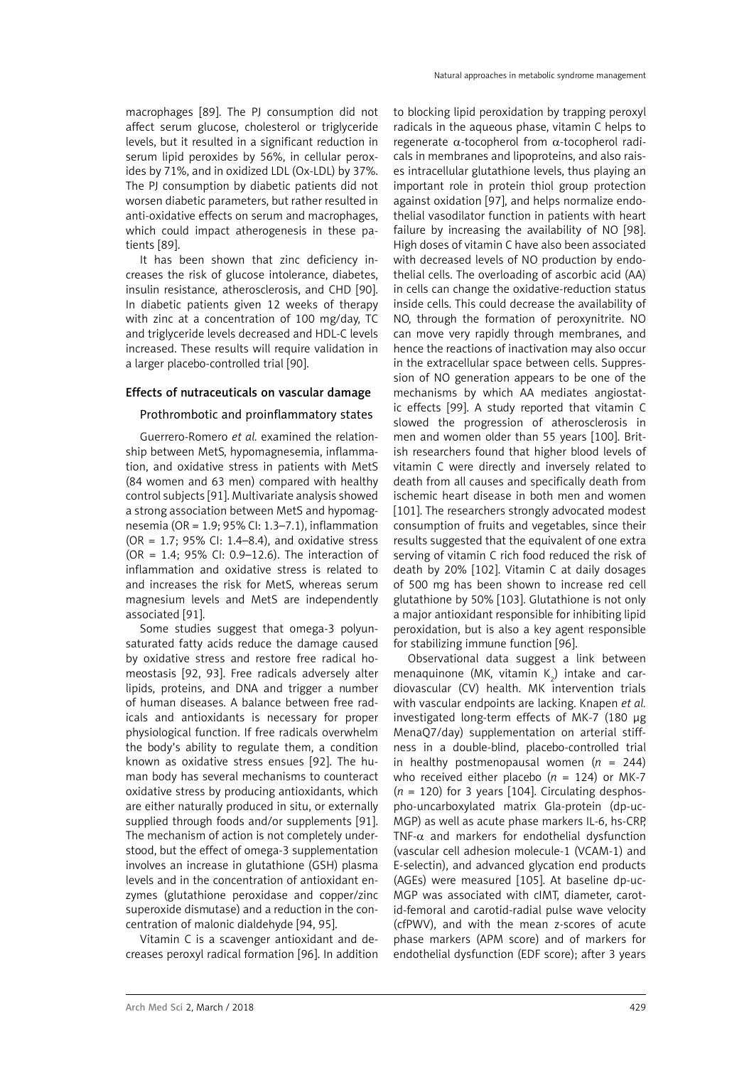macrophages [89]. The PJ consumption did not affect serum glucose, cholesterol or triglyceride levels, but it resulted in a significant reduction in serum lipid peroxides by 56%, in cellular peroxides by 71%, and in oxidized LDL (Ox-LDL) by 37%. The PJ consumption by diabetic patients did not worsen diabetic parameters, but rather resulted in anti-oxidative effects on serum and macrophages, which could impact atherogenesis in these patients [89].

It has been shown that zinc deficiency increases the risk of glucose intolerance, diabetes, insulin resistance, atherosclerosis, and CHD [90]. In diabetic patients given 12 weeks of therapy with zinc at a concentration of 100 mg/day, TC and triglyceride levels decreased and HDL-C levels increased. These results will require validation in a larger placebo-controlled trial [90].

### Effects of nutraceuticals on vascular damage

### Prothrombotic and proinflammatory states

Guerrero-Romero *et al.* examined the relationship between MetS, hypomagnesemia, inflammation, and oxidative stress in patients with MetS (84 women and 63 men) compared with healthy control subjects [91]. Multivariate analysis showed a strong association between MetS and hypomagnesemia (OR = 1.9; 95% CI: 1.3–7.1), inflammation (OR = 1.7; 95% CI: 1.4–8.4), and oxidative stress (OR = 1.4; 95% CI: 0.9–12.6). The interaction of inflammation and oxidative stress is related to and increases the risk for MetS, whereas serum magnesium levels and MetS are independently associated [91].

Some studies suggest that omega-3 polyunsaturated fatty acids reduce the damage caused by oxidative stress and restore free radical homeostasis [92, 93]. Free radicals adversely alter lipids, proteins, and DNA and trigger a number of human diseases. A balance between free radicals and antioxidants is necessary for proper physiological function. If free radicals overwhelm the body's ability to regulate them, a condition known as oxidative stress ensues [92]. The human body has several mechanisms to counteract oxidative stress by producing antioxidants, which are either naturally produced in situ, or externally supplied through foods and/or supplements [91]. The mechanism of action is not completely understood, but the effect of omega-3 supplementation involves an increase in glutathione (GSH) plasma levels and in the concentration of antioxidant enzymes (glutathione peroxidase and copper/zinc superoxide dismutase) and a reduction in the concentration of malonic dialdehyde [94, 95].

Vitamin C is a scavenger antioxidant and decreases peroxyl radical formation [96]. In addition to blocking lipid peroxidation by trapping peroxyl radicals in the aqueous phase, vitamin C helps to regenerate α-tocopherol from α-tocopherol radicals in membranes and lipoproteins, and also raises intracellular glutathione levels, thus playing an important role in protein thiol group protection against oxidation [97], and helps normalize endothelial vasodilator function in patients with heart failure by increasing the availability of NO [98]. High doses of vitamin C have also been associated with decreased levels of NO production by endothelial cells. The overloading of ascorbic acid (AA) in cells can change the oxidative-reduction status inside cells. This could decrease the availability of NO, through the formation of peroxynitrite. NO can move very rapidly through membranes, and hence the reactions of inactivation may also occur in the extracellular space between cells. Suppression of NO generation appears to be one of the mechanisms by which AA mediates angiostatic effects [99]. A study reported that vitamin C slowed the progression of atherosclerosis in men and women older than 55 years [100]. British researchers found that higher blood levels of vitamin C were directly and inversely related to death from all causes and specifically death from ischemic heart disease in both men and women [101]. The researchers strongly advocated modest consumption of fruits and vegetables, since their results suggested that the equivalent of one extra serving of vitamin C rich food reduced the risk of death by 20% [102]. Vitamin C at daily dosages of 500 mg has been shown to increase red cell glutathione by 50% [103]. Glutathione is not only a major antioxidant responsible for inhibiting lipid peroxidation, but is also a key agent responsible for stabilizing immune function [96].

Observational data suggest a link between menaquinone (MK, vitamin  $K_2$ ) intake and cardiovascular (CV) health. MK intervention trials with vascular endpoints are lacking. Knapen *et al.* investigated long-term effects of MK-7 (180 µg MenaQ7/day) supplementation on arterial stiffness in a double-blind, placebo-controlled trial in healthy postmenopausal women  $(n = 244)$ who received either placebo  $(n = 124)$  or MK-7  $(n = 120)$  for 3 years [104]. Circulating desphospho-uncarboxylated matrix Gla-protein (dp-uc-MGP) as well as acute phase markers IL-6, hs-CRP, TNF- $\alpha$  and markers for endothelial dysfunction (vascular cell adhesion molecule-1 (VCAM-1) and E-selectin), and advanced glycation end products (AGEs) were measured [105]. At baseline dp-uc-MGP was associated with cIMT, diameter, carotid-femoral and carotid-radial pulse wave velocity (cfPWV), and with the mean z-scores of acute phase markers (APM score) and of markers for endothelial dysfunction (EDF score); after 3 years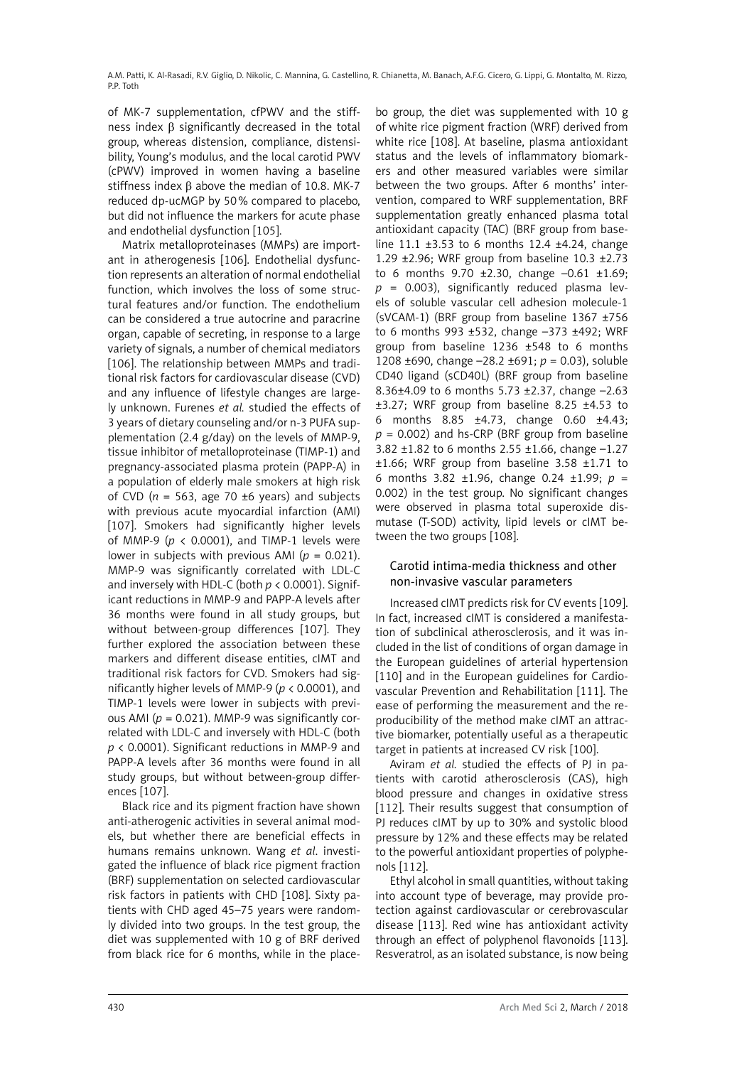of MK-7 supplementation, cfPWV and the stiffness index β significantly decreased in the total group, whereas distension, compliance, distensibility, Young's modulus, and the local carotid PWV (cPWV) improved in women having a baseline stiffness index β above the median of 10.8. MK-7 reduced dp-ucMGP by 50% compared to placebo, but did not influence the markers for acute phase and endothelial dysfunction [105].

Matrix metalloproteinases (MMPs) are important in atherogenesis [106]. Endothelial dysfunction represents an alteration of normal endothelial function, which involves the loss of some structural features and/or function. The endothelium can be considered a true autocrine and paracrine organ, capable of secreting, in response to a large variety of signals, a number of chemical mediators [106]. The relationship between MMPs and traditional risk factors for cardiovascular disease (CVD) and any influence of lifestyle changes are largely unknown. Furenes *et al.* studied the effects of 3 years of dietary counseling and/or n-3 PUFA supplementation (2.4 g/day) on the levels of MMP-9, tissue inhibitor of metalloproteinase (TIMP-1) and pregnancy-associated plasma protein (PAPP-A) in a population of elderly male smokers at high risk of CVD ( $n = 563$ , age 70 ±6 years) and subjects with previous acute myocardial infarction (AMI) [107]. Smokers had significantly higher levels of MMP-9 (*p* < 0.0001), and TIMP-1 levels were lower in subjects with previous AMI ( $p = 0.021$ ). MMP-9 was significantly correlated with LDL-C and inversely with HDL-C (both *p* < 0.0001). Significant reductions in MMP-9 and PAPP-A levels after 36 months were found in all study groups, but without between-group differences [107]. They further explored the association between these markers and different disease entities, cIMT and traditional risk factors for CVD. Smokers had significantly higher levels of MMP-9 (*p* < 0.0001), and TIMP-1 levels were lower in subjects with previous AMI (*p* = 0.021). MMP-9 was significantly correlated with LDL-C and inversely with HDL-C (both *p* < 0.0001). Significant reductions in MMP-9 and PAPP-A levels after 36 months were found in all study groups, but without between-group differences [107].

Black rice and its pigment fraction have shown anti-atherogenic activities in several animal models, but whether there are beneficial effects in humans remains unknown. Wang *et al*. investigated the influence of black rice pigment fraction (BRF) supplementation on selected cardiovascular risk factors in patients with CHD [108]. Sixty patients with CHD aged 45–75 years were randomly divided into two groups. In the test group, the diet was supplemented with 10 g of BRF derived from black rice for 6 months, while in the place-

bo group, the diet was supplemented with 10 g of white rice pigment fraction (WRF) derived from white rice [108]. At baseline, plasma antioxidant status and the levels of inflammatory biomarkers and other measured variables were similar between the two groups. After 6 months' intervention, compared to WRF supplementation, BRF supplementation greatly enhanced plasma total antioxidant capacity (TAC) (BRF group from baseline 11.1 ±3.53 to 6 months 12.4 ±4.24, change 1.29 ±2.96; WRF group from baseline 10.3 ±2.73 to 6 months  $9.70 \pm 2.30$ , change  $-0.61 \pm 1.69$ ;  $p = 0.003$ ), significantly reduced plasma levels of soluble vascular cell adhesion molecule-1 (sVCAM-1) (BRF group from baseline 1367 ±756 to 6 months 993 ±532, change –373 ±492; WRF group from baseline 1236 ±548 to 6 months 1208 ±690, change –28.2 ±691; *p* = 0.03), soluble CD40 ligand (sCD40L) (BRF group from baseline 8.36±4.09 to 6 months 5.73 ±2.37, change –2.63 ±3.27; WRF group from baseline 8.25 ±4.53 to 6 months  $8.85 \pm 4.73$ , change  $0.60 \pm 4.43$ ;  $p = 0.002$ ) and hs-CRP (BRF group from baseline 3.82 ±1.82 to 6 months 2.55 ±1.66, change –1.27 ±1.66; WRF group from baseline 3.58 ±1.71 to 6 months 3.82 ±1.96, change 0.24 ±1.99; *p* = 0.002) in the test group. No significant changes were observed in plasma total superoxide dismutase (T-SOD) activity, lipid levels or cIMT between the two groups [108].

# Carotid intima-media thickness and other non-invasive vascular parameters

Increased cIMT predicts risk for CV events [109]. In fact, increased cIMT is considered a manifestation of subclinical atherosclerosis, and it was included in the list of conditions of organ damage in the European guidelines of arterial hypertension [110] and in the European guidelines for Cardiovascular Prevention and Rehabilitation [111]. The ease of performing the measurement and the reproducibility of the method make cIMT an attractive biomarker, potentially useful as a therapeutic target in patients at increased CV risk [100].

Aviram *et al.* studied the effects of PJ in patients with carotid atherosclerosis (CAS), high blood pressure and changes in oxidative stress [112]. Their results suggest that consumption of PJ reduces cIMT by up to 30% and systolic blood pressure by 12% and these effects may be related to the powerful antioxidant properties of polyphenols [112].

Ethyl alcohol in small quantities, without taking into account type of beverage, may provide protection against cardiovascular or cerebrovascular disease [113]. Red wine has antioxidant activity through an effect of polyphenol flavonoids [113]. Resveratrol, as an isolated substance, is now being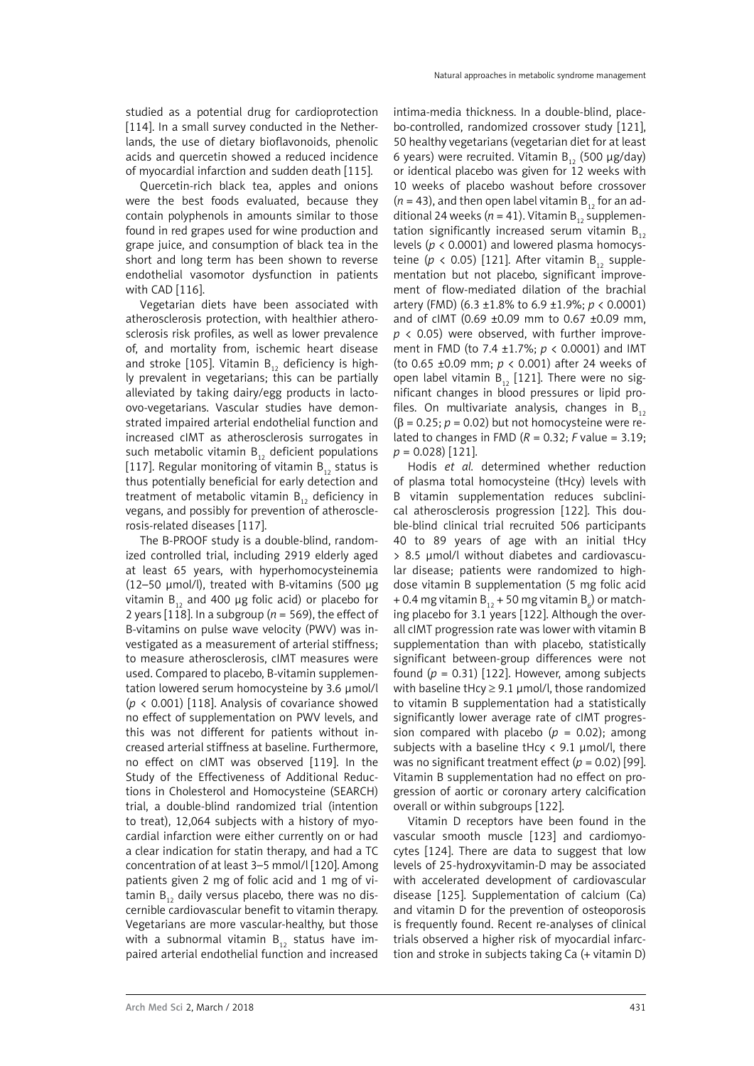studied as a potential drug for cardioprotection [114]. In a small survey conducted in the Netherlands, the use of dietary bioflavonoids, phenolic acids and quercetin showed a reduced incidence of myocardial infarction and sudden death [115].

Quercetin-rich black tea, apples and onions were the best foods evaluated, because they contain polyphenols in amounts similar to those found in red grapes used for wine production and grape juice, and consumption of black tea in the short and long term has been shown to reverse endothelial vasomotor dysfunction in patients with CAD [116].

Vegetarian diets have been associated with atherosclerosis protection, with healthier atherosclerosis risk profiles, as well as lower prevalence of, and mortality from, ischemic heart disease and stroke [105]. Vitamin  $B_{12}$  deficiency is highly prevalent in vegetarians; this can be partially alleviated by taking dairy/egg products in lactoovo-vegetarians. Vascular studies have demonstrated impaired arterial endothelial function and increased cIMT as atherosclerosis surrogates in such metabolic vitamin  $B_{12}$  deficient populations [117]. Regular monitoring of vitamin  $B_{12}$  status is thus potentially beneficial for early detection and treatment of metabolic vitamin  $B_{12}$  deficiency in vegans, and possibly for prevention of atherosclerosis-related diseases [117].

The B-PROOF study is a double-blind, randomized controlled trial, including 2919 elderly aged at least 65 years, with hyperhomocysteinemia (12–50  $\mu$ mol/l), treated with B-vitamins (500  $\mu$ g vitamin  $B_{12}$  and 400 µg folic acid) or placebo for 2 years [118]. In a subgroup ( $n = 569$ ), the effect of B-vitamins on pulse wave velocity (PWV) was investigated as a measurement of arterial stiffness; to measure atherosclerosis, cIMT measures were used. Compared to placebo, B-vitamin supplementation lowered serum homocysteine by 3.6 µmol/l (*p* < 0.001) [118]. Analysis of covariance showed no effect of supplementation on PWV levels, and this was not different for patients without increased arterial stiffness at baseline. Furthermore, no effect on cIMT was observed [119]. In the Study of the Effectiveness of Additional Reductions in Cholesterol and Homocysteine (SEARCH) trial, a double-blind randomized trial (intention to treat), 12,064 subjects with a history of myocardial infarction were either currently on or had a clear indication for statin therapy, and had a TC concentration of at least 3–5 mmol/l [120]. Among patients given 2 mg of folic acid and 1 mg of vitamin  $B_{12}$  daily versus placebo, there was no discernible cardiovascular benefit to vitamin therapy. Vegetarians are more vascular-healthy, but those with a subnormal vitamin  $B_{12}$  status have impaired arterial endothelial function and increased

intima-media thickness. In a double-blind, placebo-controlled, randomized crossover study [121], 50 healthy vegetarians (vegetarian diet for at least 6 years) were recruited. Vitamin  $B_{12}$  (500 µg/day) or identical placebo was given for 12 weeks with 10 weeks of placebo washout before crossover  $(n = 43)$ , and then open label vitamin B<sub>12</sub> for an additional 24 weeks ( $n = 41$ ). Vitamin B<sub>12</sub> supplementation significantly increased serum vitamin  $B_{12}$ levels (*p* < 0.0001) and lowered plasma homocysteine ( $p \lt 0.05$ ) [121]. After vitamin B<sub>12</sub> supplementation but not placebo, significant improvement of flow-mediated dilation of the brachial artery (FMD) (6.3 ±1.8% to 6.9 ±1.9%; *p* < 0.0001) and of cIMT (0.69 ±0.09 mm to 0.67 ±0.09 mm, *p* < 0.05) were observed, with further improvement in FMD (to 7.4 ±1.7%; *p* < 0.0001) and IMT (to 0.65 ±0.09 mm; *p* < 0.001) after 24 weeks of open label vitamin  $B_{12}$  [121]. There were no significant changes in blood pressures or lipid profiles. On multivariate analysis, changes in  $B_{12}$ (β = 0.25; *p* = 0.02) but not homocysteine were related to changes in FMD  $(R = 0.32; F$  value = 3.19; *p* = 0.028) [121].

Hodis *et al.* determined whether reduction of plasma total homocysteine (tHcy) levels with B vitamin supplementation reduces subclinical atherosclerosis progression [122]. This double-blind clinical trial recruited 506 participants 40 to 89 years of age with an initial tHcy > 8.5 µmol/l without diabetes and cardiovascular disease; patients were randomized to highdose vitamin B supplementation (5 mg folic acid + 0.4 mg vitamin B<sub>12</sub> + 50 mg vitamin B<sub>6</sub>) or matching placebo for 3.1 years [122]. Although the overall cIMT progression rate was lower with vitamin B supplementation than with placebo, statistically significant between-group differences were not found  $(p = 0.31)$  [122]. However, among subjects with baseline tHcy  $\geq$  9.1 µmol/l, those randomized to vitamin B supplementation had a statistically significantly lower average rate of cIMT progression compared with placebo ( $p = 0.02$ ); among subjects with a baseline tHcy  $\langle 9.1 \text{ \mu mol/l} \rangle$ , there was no significant treatment effect  $(p = 0.02)$  [99]. Vitamin B supplementation had no effect on progression of aortic or coronary artery calcification overall or within subgroups [122].

Vitamin D receptors have been found in the vascular smooth muscle [123] and cardiomyocytes [124]. There are data to suggest that low levels of 25-hydroxyvitamin-D may be associated with accelerated development of cardiovascular disease [125]. Supplementation of calcium (Ca) and vitamin D for the prevention of osteoporosis is frequently found. Recent re-analyses of clinical trials observed a higher risk of myocardial infarction and stroke in subjects taking Ca (+ vitamin D)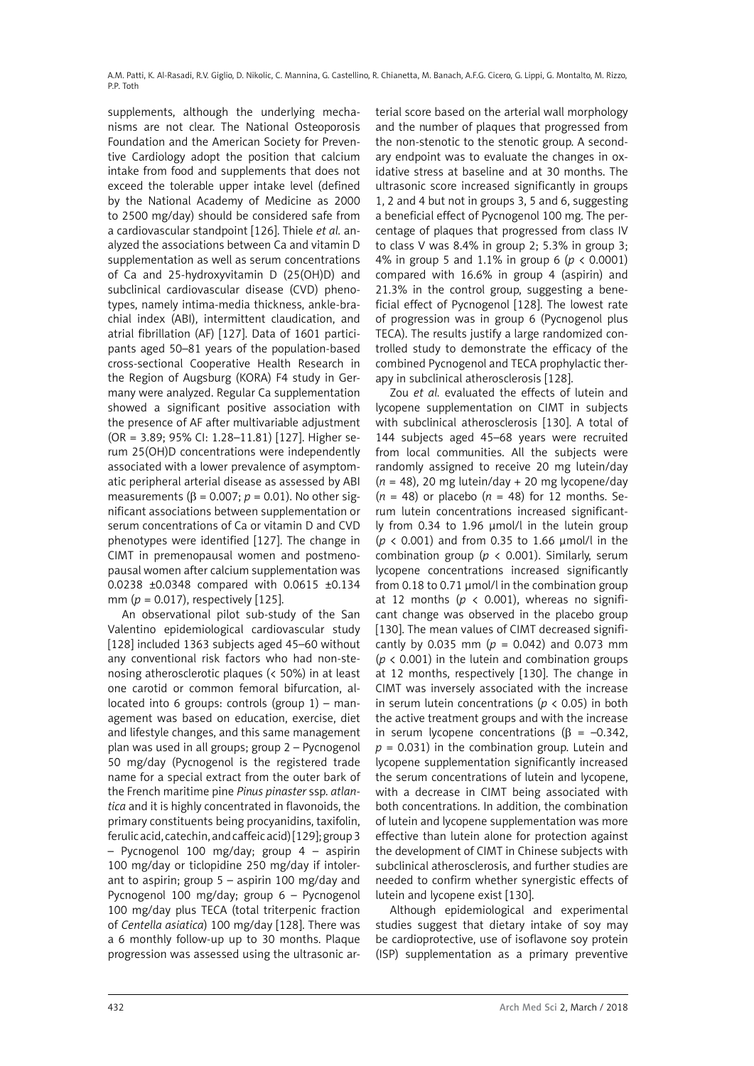supplements, although the underlying mechanisms are not clear. The National Osteoporosis Foundation and the American Society for Preventive Cardiology adopt the position that calcium intake from food and supplements that does not exceed the tolerable upper intake level (defined by the National Academy of Medicine as 2000 to 2500 mg/day) should be considered safe from a cardiovascular standpoint [126]. Thiele *et al.* analyzed the associations between Ca and vitamin D supplementation as well as serum concentrations of Ca and 25-hydroxyvitamin D (25(OH)D) and subclinical cardiovascular disease (CVD) phenotypes, namely intima-media thickness, ankle-brachial index (ABI), intermittent claudication, and atrial fibrillation (AF) [127]. Data of 1601 participants aged 50–81 years of the population-based cross-sectional Cooperative Health Research in the Region of Augsburg (KORA) F4 study in Germany were analyzed. Regular Ca supplementation showed a significant positive association with the presence of AF after multivariable adjustment (OR = 3.89; 95% CI: 1.28–11.81) [127]. Higher serum 25(OH)D concentrations were independently associated with a lower prevalence of asymptomatic peripheral arterial disease as assessed by ABI measurements ( $\beta$  = 0.007;  $p$  = 0.01). No other significant associations between supplementation or serum concentrations of Ca or vitamin D and CVD phenotypes were identified [127]. The change in CIMT in premenopausal women and postmenopausal women after calcium supplementation was 0.0238 ±0.0348 compared with 0.0615 ±0.134 mm ( $p = 0.017$ ), respectively [125].

An observational pilot sub-study of the San Valentino epidemiological cardiovascular study [128] included 1363 subjects aged 45–60 without any conventional risk factors who had non-stenosing atherosclerotic plaques (< 50%) in at least one carotid or common femoral bifurcation, allocated into 6 groups: controls (group 1) – management was based on education, exercise, diet and lifestyle changes, and this same management plan was used in all groups; group 2 – Pycnogenol 50 mg/day (Pycnogenol is the registered trade name for a special extract from the outer bark of the French maritime pine *Pinus pinaster* ssp. *atlantica* and it is highly concentrated in flavonoids, the primary constituents being procyanidins, taxifolin, ferulic acid, catechin, and caffeic acid) [129]; group 3 – Pycnogenol 100 mg/day; group 4 – aspirin 100 mg/day or ticlopidine 250 mg/day if intolerant to aspirin; group 5 – aspirin 100 mg/day and Pycnogenol 100 mg/day; group 6 – Pycnogenol 100 mg/day plus TECA (total triterpenic fraction of *Centella asiatica*) 100 mg/day [128]. There was a 6 monthly follow-up up to 30 months. Plaque progression was assessed using the ultrasonic arterial score based on the arterial wall morphology and the number of plaques that progressed from the non-stenotic to the stenotic group. A secondary endpoint was to evaluate the changes in oxidative stress at baseline and at 30 months. The ultrasonic score increased significantly in groups 1, 2 and 4 but not in groups 3, 5 and 6, suggesting a beneficial effect of Pycnogenol 100 mg. The percentage of plaques that progressed from class IV to class V was 8.4% in group 2; 5.3% in group 3; 4% in group 5 and 1.1% in group 6 (*p* < 0.0001) compared with 16.6% in group 4 (aspirin) and 21.3% in the control group, suggesting a beneficial effect of Pycnogenol [128]. The lowest rate of progression was in group 6 (Pycnogenol plus TECA). The results justify a large randomized controlled study to demonstrate the efficacy of the combined Pycnogenol and TECA prophylactic therapy in subclinical atherosclerosis [128].

Zou *et al.* evaluated the effects of lutein and lycopene supplementation on CIMT in subjects with subclinical atherosclerosis [130]. A total of 144 subjects aged 45–68 years were recruited from local communities. All the subjects were randomly assigned to receive 20 mg lutein/day  $(n = 48)$ , 20 mg lutein/day + 20 mg lycopene/day (*n* = 48) or placebo (*n* = 48) for 12 months. Serum lutein concentrations increased significantly from 0.34 to 1.96 µmol/l in the lutein group (*p* < 0.001) and from 0.35 to 1.66 µmol/l in the combination group (*p* < 0.001). Similarly, serum lycopene concentrations increased significantly from 0.18 to 0.71 µmol/l in the combination group at 12 months ( $p \lt 0.001$ ), whereas no significant change was observed in the placebo group [130]. The mean values of CIMT decreased significantly by 0.035 mm ( $p = 0.042$ ) and 0.073 mm  $(p < 0.001)$  in the lutein and combination groups at 12 months, respectively [130]. The change in CIMT was inversely associated with the increase in serum lutein concentrations (*p* < 0.05) in both the active treatment groups and with the increase in serum lycopene concentrations  $(8 = -0.342)$ .  $p = 0.031$ ) in the combination group. Lutein and lycopene supplementation significantly increased the serum concentrations of lutein and lycopene, with a decrease in CIMT being associated with both concentrations. In addition, the combination of lutein and lycopene supplementation was more effective than lutein alone for protection against the development of CIMT in Chinese subjects with subclinical atherosclerosis, and further studies are needed to confirm whether synergistic effects of lutein and lycopene exist [130].

Although epidemiological and experimental studies suggest that dietary intake of soy may be cardioprotective, use of isoflavone soy protein (ISP) supplementation as a primary preventive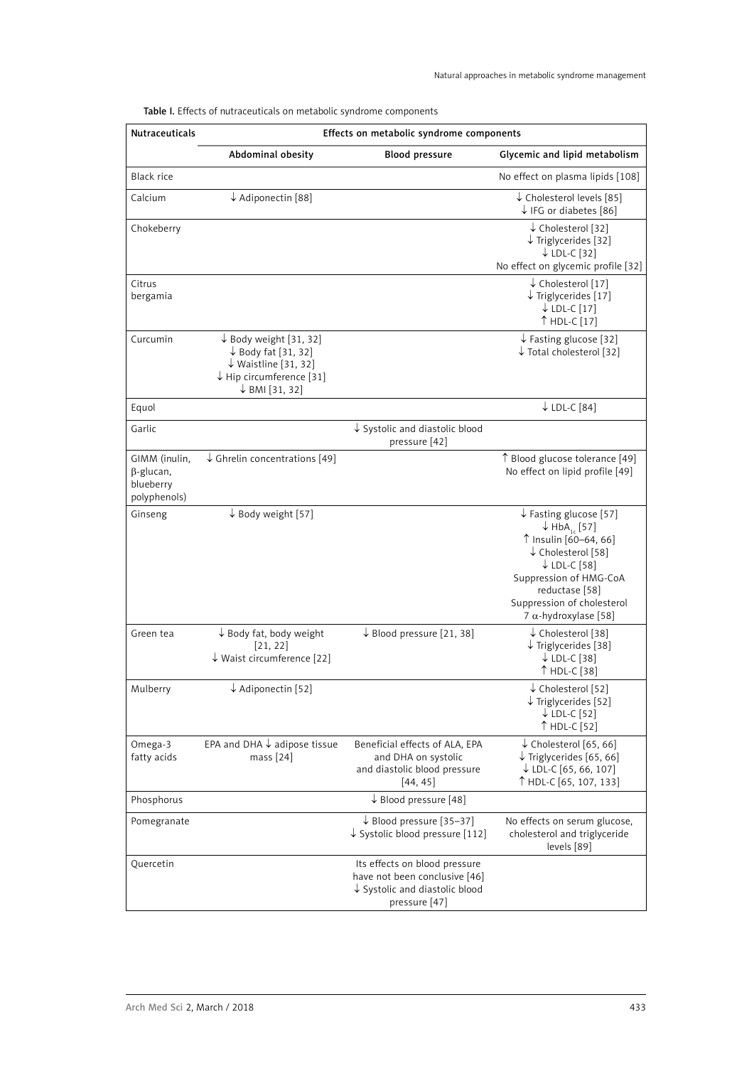Table I. Effects of nutraceuticals on metabolic syndrome components

| <b>Nutraceuticals</b>                                          | Effects on metabolic syndrome components                                                                                                                                   |                                                                                                                              |                                                                                                                                                                                                                                                              |  |  |
|----------------------------------------------------------------|----------------------------------------------------------------------------------------------------------------------------------------------------------------------------|------------------------------------------------------------------------------------------------------------------------------|--------------------------------------------------------------------------------------------------------------------------------------------------------------------------------------------------------------------------------------------------------------|--|--|
|                                                                | Abdominal obesity                                                                                                                                                          | <b>Blood pressure</b>                                                                                                        | Glycemic and lipid metabolism                                                                                                                                                                                                                                |  |  |
| <b>Black rice</b>                                              |                                                                                                                                                                            |                                                                                                                              | No effect on plasma lipids [108]                                                                                                                                                                                                                             |  |  |
| Calcium                                                        | $\downarrow$ Adiponectin [88]                                                                                                                                              |                                                                                                                              | $\downarrow$ Cholesterol levels [85]<br>$\downarrow$ IFG or diabetes [86]                                                                                                                                                                                    |  |  |
| Chokeberry                                                     |                                                                                                                                                                            |                                                                                                                              | ↓ Cholesterol [32]<br>$\downarrow$ Triglycerides [32]<br>$\downarrow$ LDL-C [32]<br>No effect on glycemic profile [32]                                                                                                                                       |  |  |
| Citrus<br>bergamia                                             |                                                                                                                                                                            |                                                                                                                              | ↓ Cholesterol [17]<br>$\downarrow$ Triglycerides [17]<br>$\downarrow$ LDL-C [17]<br>↑ HDL-C [17]                                                                                                                                                             |  |  |
| Curcumin                                                       | $\downarrow$ Body weight [31, 32]<br>$\downarrow$ Body fat [31, 32]<br>$\downarrow$ Waistline [31, 32]<br>$\downarrow$ Hip circumference [31]<br>$\downarrow$ BMI [31, 32] |                                                                                                                              | $\downarrow$ Fasting glucose [32]<br>↓ Total cholesterol [32]                                                                                                                                                                                                |  |  |
| Equol                                                          |                                                                                                                                                                            |                                                                                                                              | $\downarrow$ LDL-C [84]                                                                                                                                                                                                                                      |  |  |
| Garlic                                                         |                                                                                                                                                                            | ↓ Systolic and diastolic blood<br>pressure [42]                                                                              |                                                                                                                                                                                                                                                              |  |  |
| GIMM (inulin,<br>$\beta$ -glucan,<br>blueberry<br>polyphenols) | $\downarrow$ Ghrelin concentrations [49]                                                                                                                                   |                                                                                                                              | ↑ Blood glucose tolerance [49]<br>No effect on lipid profile [49]                                                                                                                                                                                            |  |  |
| Ginseng                                                        | $\downarrow$ Body weight [57]                                                                                                                                              |                                                                                                                              | $\downarrow$ Fasting glucose [57]<br>$\downarrow$ HbA <sub>1c</sub> [57]<br>↑ Insulin [60-64, 66]<br>↓ Cholesterol [58]<br>$\downarrow$ LDL-C [58]<br>Suppression of HMG-CoA<br>reductase [58]<br>Suppression of cholesterol<br>7 $\alpha$ -hydroxylase [58] |  |  |
| Green tea                                                      | $\downarrow$ Body fat, body weight<br>[21, 22]<br>$\downarrow$ Waist circumference [22]                                                                                    | $\downarrow$ Blood pressure [21, 38]                                                                                         | ↓ Cholesterol [38]<br>↓ Triglycerides [38]<br>$\downarrow$ LDL-C [38]<br>↑ HDL-C [38]                                                                                                                                                                        |  |  |
| Mulberry                                                       | $\downarrow$ Adiponectin [52]                                                                                                                                              |                                                                                                                              | $\downarrow$ Cholesterol [52]<br>$\downarrow$ Triglycerides [52]<br>$\downarrow$ LDL-C [52]<br>↑ HDL-C [52]                                                                                                                                                  |  |  |
| Omega-3<br>fatty acids                                         | EPA and DHA $\downarrow$ adipose tissue<br>mass $[24]$                                                                                                                     | Beneficial effects of ALA, EPA<br>and DHA on systolic<br>and diastolic blood pressure<br>[44, 45]                            | $\downarrow$ Cholesterol [65, 66]<br>$\downarrow$ Triglycerides [65, 66]<br>↓ LDL-C [65, 66, 107]<br>↑ HDL-C [65, 107, 133]                                                                                                                                  |  |  |
| Phosphorus                                                     |                                                                                                                                                                            | $\downarrow$ Blood pressure [48]                                                                                             |                                                                                                                                                                                                                                                              |  |  |
| Pomegranate                                                    |                                                                                                                                                                            | ↓ Blood pressure [35-37]<br>↓ Systolic blood pressure [112]                                                                  | No effects on serum glucose,<br>cholesterol and triglyceride<br>levels [89]                                                                                                                                                                                  |  |  |
| Quercetin                                                      |                                                                                                                                                                            | Its effects on blood pressure<br>have not been conclusive [46]<br>$\downarrow$ Systolic and diastolic blood<br>pressure [47] |                                                                                                                                                                                                                                                              |  |  |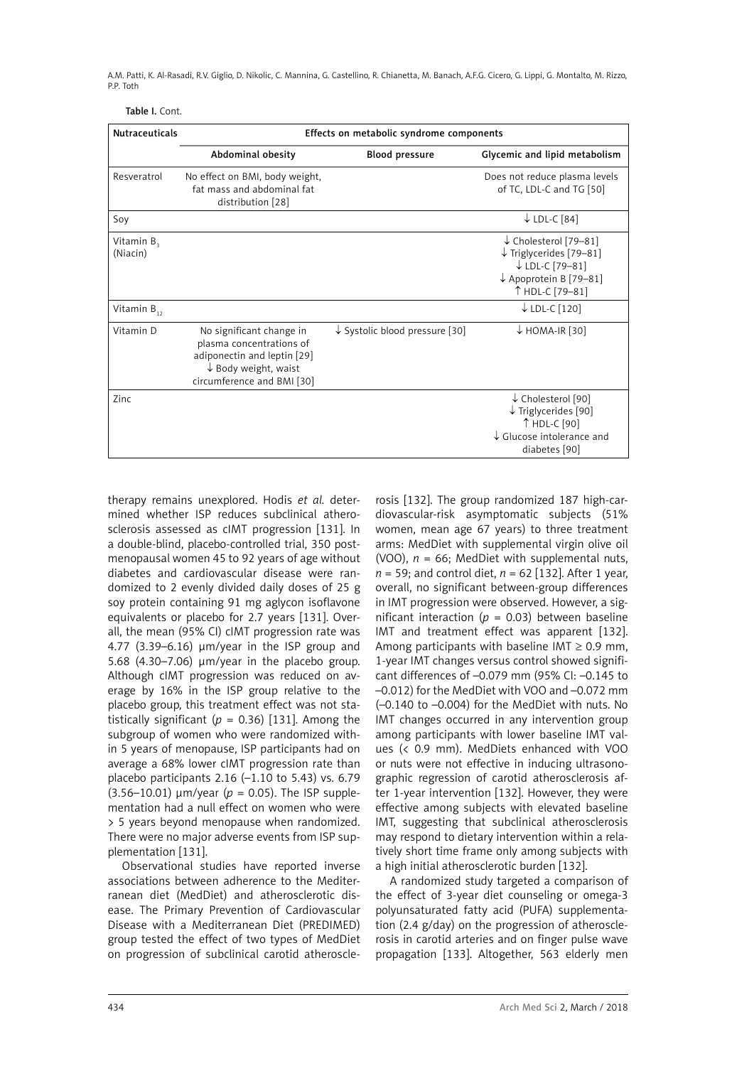Table I. Cont.

| <b>Nutraceuticals</b>       | Effects on metabolic syndrome components                                                                                                             |                                           |                                                                                                                                                              |  |
|-----------------------------|------------------------------------------------------------------------------------------------------------------------------------------------------|-------------------------------------------|--------------------------------------------------------------------------------------------------------------------------------------------------------------|--|
|                             | Abdominal obesity                                                                                                                                    | <b>Blood pressure</b>                     | Glycemic and lipid metabolism                                                                                                                                |  |
| Resveratrol                 | No effect on BMI, body weight,<br>fat mass and abdominal fat<br>distribution [28]                                                                    |                                           | Does not reduce plasma levels<br>of TC, LDL-C and TG [50]                                                                                                    |  |
| Soy                         |                                                                                                                                                      |                                           | $\downarrow$ LDL-C [84]                                                                                                                                      |  |
| Vitamin $B_{3}$<br>(Niacin) |                                                                                                                                                      |                                           | $\downarrow$ Cholesterol [79–81]<br>$\downarrow$ Triglycerides [79-81]<br>$\downarrow$ LDL-C [79-81]<br>$\downarrow$ Apoprotein B [79-81]<br>↑ HDL-C [79-81] |  |
| Vitamin $B_{12}$            |                                                                                                                                                      |                                           | $\downarrow$ LDL-C [120]                                                                                                                                     |  |
| Vitamin D                   | No significant change in<br>plasma concentrations of<br>adiponectin and leptin [29]<br>$\downarrow$ Body weight, waist<br>circumference and BMI [30] | $\downarrow$ Systolic blood pressure [30] | $\downarrow$ HOMA-IR [30]                                                                                                                                    |  |
| Zinc                        |                                                                                                                                                      |                                           | ↓ Cholesterol [90]<br>$\downarrow$ Triglycerides [90]<br>↑ HDL-C [90]<br>$\downarrow$ Glucose intolerance and<br>diabetes [90]                               |  |

therapy remains unexplored. Hodis *et al.* determined whether ISP reduces subclinical atherosclerosis assessed as cIMT progression [131]. In a double-blind, placebo-controlled trial, 350 postmenopausal women 45 to 92 years of age without diabetes and cardiovascular disease were randomized to 2 evenly divided daily doses of 25 g soy protein containing 91 mg aglycon isoflavone equivalents or placebo for 2.7 years [131]. Overall, the mean (95% CI) cIMT progression rate was 4.77 (3.39–6.16) µm/year in the ISP group and 5.68 (4.30–7.06) µm/year in the placebo group. Although cIMT progression was reduced on average by 16% in the ISP group relative to the placebo group, this treatment effect was not statistically significant ( $p = 0.36$ ) [131]. Among the subgroup of women who were randomized within 5 years of menopause, ISP participants had on average a 68% lower cIMT progression rate than placebo participants 2.16 (–1.10 to 5.43) vs. 6.79  $(3.56-10.01)$  µm/year ( $p = 0.05$ ). The ISP supplementation had a null effect on women who were > 5 years beyond menopause when randomized. There were no major adverse events from ISP supplementation [131].

Observational studies have reported inverse associations between adherence to the Mediterranean diet (MedDiet) and atherosclerotic disease. The Primary Prevention of Cardiovascular Disease with a Mediterranean Diet (PREDIMED) group tested the effect of two types of MedDiet on progression of subclinical carotid atheroscle-

rosis [132]. The group randomized 187 high-cardiovascular-risk asymptomatic subjects (51% women, mean age 67 years) to three treatment arms: MedDiet with supplemental virgin olive oil (VOO),  $n = 66$ ; MedDiet with supplemental nuts, *n* = 59; and control diet, *n* = 62 [132]. After 1 year, overall, no significant between-group differences in IMT progression were observed. However, a significant interaction ( $p = 0.03$ ) between baseline IMT and treatment effect was apparent [132]. Among participants with baseline IMT  $\geq$  0.9 mm, 1-year IMT changes versus control showed significant differences of –0.079 mm (95% CI: –0.145 to –0.012) for the MedDiet with VOO and –0.072 mm (–0.140 to –0.004) for the MedDiet with nuts. No IMT changes occurred in any intervention group among participants with lower baseline IMT values (< 0.9 mm). MedDiets enhanced with VOO or nuts were not effective in inducing ultrasonographic regression of carotid atherosclerosis after 1-year intervention [132]. However, they were effective among subjects with elevated baseline IMT, suggesting that subclinical atherosclerosis may respond to dietary intervention within a relatively short time frame only among subjects with a high initial atherosclerotic burden [132].

A randomized study targeted a comparison of the effect of 3-year diet counseling or omega-3 polyunsaturated fatty acid (PUFA) supplementation (2.4 g/day) on the progression of atherosclerosis in carotid arteries and on finger pulse wave propagation [133]. Altogether, 563 elderly men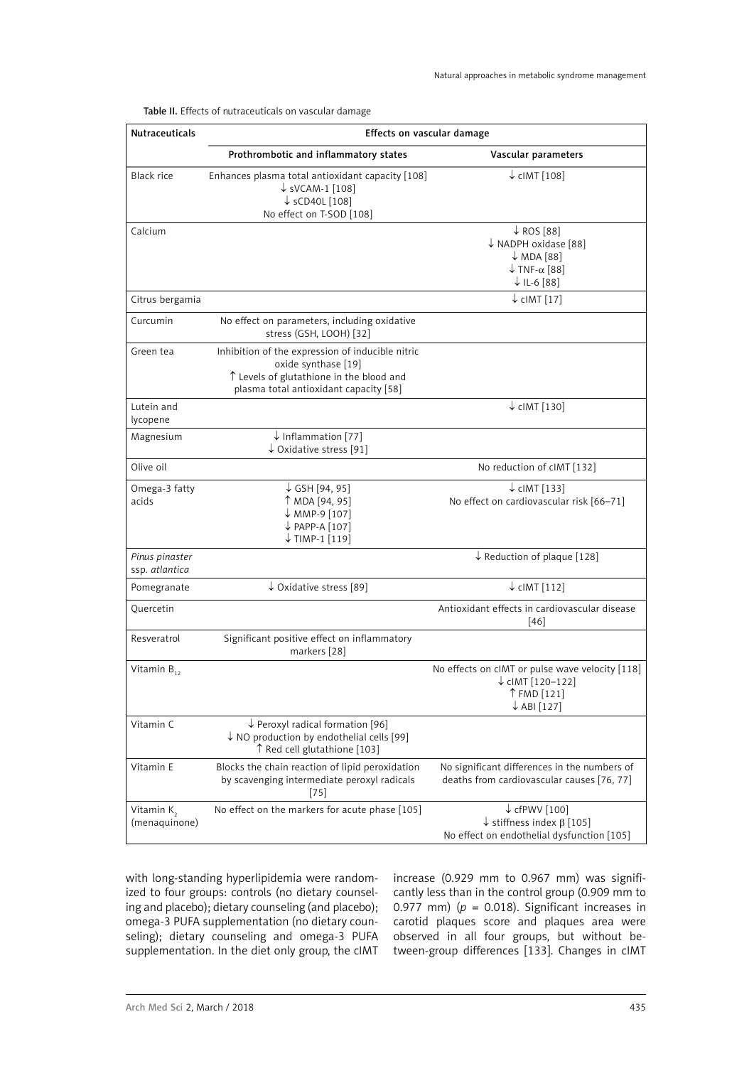| <b>Nutraceuticals</b>            | Effects on vascular damage                                                                                                                                    |                                                                                                                                     |  |
|----------------------------------|---------------------------------------------------------------------------------------------------------------------------------------------------------------|-------------------------------------------------------------------------------------------------------------------------------------|--|
|                                  | Prothrombotic and inflammatory states                                                                                                                         | Vascular parameters                                                                                                                 |  |
| Black rice                       | Enhances plasma total antioxidant capacity [108]<br>$\downarrow$ sVCAM-1 [108]<br>$\downarrow$ sCD40L [108]<br>No effect on T-SOD [108]                       | $\downarrow$ cIMT [108]                                                                                                             |  |
| Calcium                          |                                                                                                                                                               | $\downarrow$ ROS [88]<br>↓ NADPH oxidase [88]<br>$\downarrow$ MDA [88]<br>$\downarrow$ TNF- $\alpha$ [88]<br>$\downarrow$ IL-6 [88] |  |
| Citrus bergamia                  |                                                                                                                                                               | $\downarrow$ clMT [17]                                                                                                              |  |
| Curcumin                         | No effect on parameters, including oxidative<br>stress (GSH, LOOH) [32]                                                                                       |                                                                                                                                     |  |
| Green tea                        | Inhibition of the expression of inducible nitric<br>oxide synthase [19]<br>↑ Levels of glutathione in the blood and<br>plasma total antioxidant capacity [58] |                                                                                                                                     |  |
| Lutein and<br>lycopene           |                                                                                                                                                               | $\downarrow$ cIMT [130]                                                                                                             |  |
| Magnesium                        | $\downarrow$ Inflammation [77]<br>$\downarrow$ Oxidative stress [91]                                                                                          |                                                                                                                                     |  |
| Olive oil                        |                                                                                                                                                               | No reduction of cIMT [132]                                                                                                          |  |
| Omega-3 fatty<br>acids           | $\downarrow$ GSH [94, 95]<br>↑ MDA [94, 95]<br>$\downarrow$ MMP-9 [107]<br>$\downarrow$ PAPP-A [107]<br>$\downarrow$ TIMP-1 [119]                             | $\downarrow$ cIMT [133]<br>No effect on cardiovascular risk [66-71]                                                                 |  |
| Pinus pinaster<br>ssp. atlantica |                                                                                                                                                               | $\downarrow$ Reduction of plaque [128]                                                                                              |  |
| Pomegranate                      | $\downarrow$ Oxidative stress [89]                                                                                                                            | $\downarrow$ cIMT [112]                                                                                                             |  |
| Quercetin                        |                                                                                                                                                               | Antioxidant effects in cardiovascular disease<br>[46]                                                                               |  |
| Resveratrol                      | Significant positive effect on inflammatory<br>markers [28]                                                                                                   |                                                                                                                                     |  |
| Vitamin $B_{12}$                 |                                                                                                                                                               | No effects on cIMT or pulse wave velocity [118]<br>$\downarrow$ cIMT [120-122]<br>↑ FMD [121]<br>$\downarrow$ ABI [127]             |  |
| Vitamin C                        | $\downarrow$ Peroxyl radical formation [96]<br>$\downarrow$ NO production by endothelial cells [99]<br>↑ Red cell glutathione [103]                           |                                                                                                                                     |  |
| Vitamin E                        | Blocks the chain reaction of lipid peroxidation<br>by scavenging intermediate peroxyl radicals<br>$[75]$                                                      | No significant differences in the numbers of<br>deaths from cardiovascular causes [76, 77]                                          |  |
| Vitamin $K_{2}$<br>(menaquinone) | No effect on the markers for acute phase [105]                                                                                                                | $\downarrow$ cfPWV [100]<br>$\downarrow$ stiffness index $\beta$ [105]<br>No effect on endothelial dysfunction [105]                |  |

Table II. Effects of nutraceuticals on vascular damage

with long-standing hyperlipidemia were randomized to four groups: controls (no dietary counseling and placebo); dietary counseling (and placebo); omega-3 PUFA supplementation (no dietary counseling); dietary counseling and omega-3 PUFA supplementation. In the diet only group, the cIMT increase (0.929 mm to 0.967 mm) was significantly less than in the control group (0.909 mm to 0.977 mm) ( $p = 0.018$ ). Significant increases in carotid plaques score and plaques area were observed in all four groups, but without between-group differences [133]. Changes in cIMT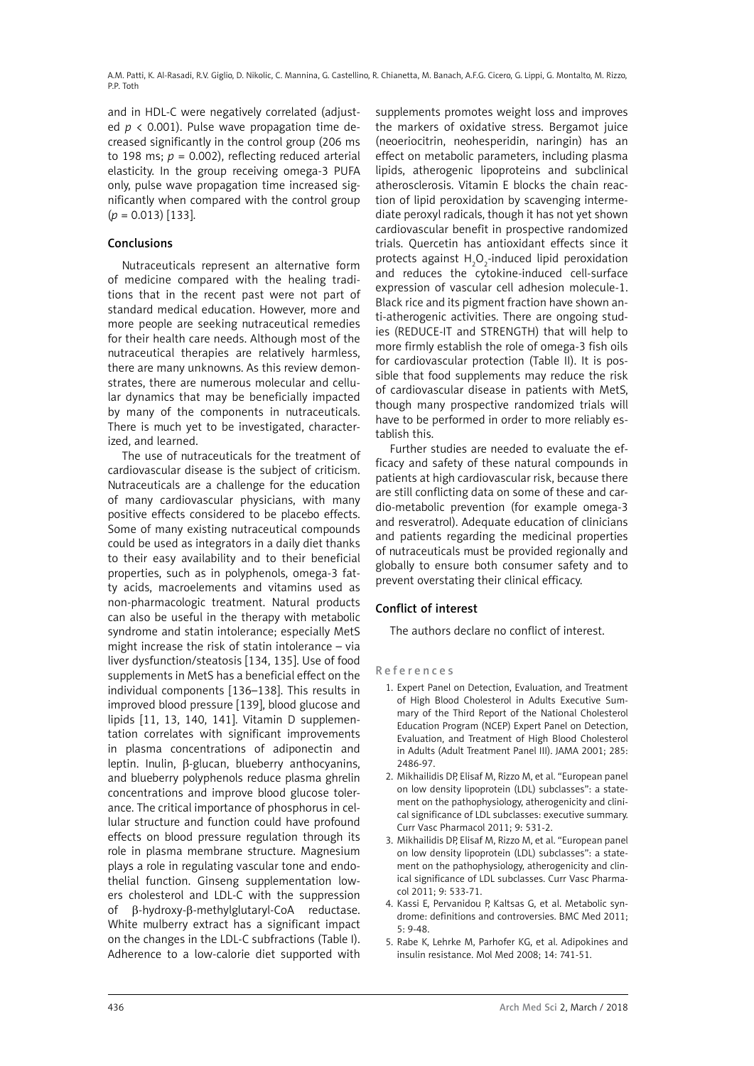and in HDL-C were negatively correlated (adjusted  $p \lt 0.001$ ). Pulse wave propagation time decreased significantly in the control group (206 ms to 198 ms;  $p = 0.002$ ), reflecting reduced arterial elasticity. In the group receiving omega-3 PUFA only, pulse wave propagation time increased significantly when compared with the control group (*p* = 0.013) [133].

# Conclusions

Nutraceuticals represent an alternative form of medicine compared with the healing traditions that in the recent past were not part of standard medical education. However, more and more people are seeking nutraceutical remedies for their health care needs. Although most of the nutraceutical therapies are relatively harmless, there are many unknowns. As this review demonstrates, there are numerous molecular and cellular dynamics that may be beneficially impacted by many of the components in nutraceuticals. There is much yet to be investigated, characterized, and learned.

The use of nutraceuticals for the treatment of cardiovascular disease is the subject of criticism. Nutraceuticals are a challenge for the education of many cardiovascular physicians, with many positive effects considered to be placebo effects. Some of many existing nutraceutical compounds could be used as integrators in a daily diet thanks to their easy availability and to their beneficial properties, such as in polyphenols, omega-3 fatty acids, macroelements and vitamins used as non-pharmacologic treatment. Natural products can also be useful in the therapy with metabolic syndrome and statin intolerance; especially MetS might increase the risk of statin intolerance – via liver dysfunction/steatosis [134, 135]. Use of food supplements in MetS has a beneficial effect on the individual components [136–138]. This results in improved blood pressure [139], blood glucose and lipids [11, 13, 140, 141]. Vitamin D supplementation correlates with significant improvements in plasma concentrations of adiponectin and leptin. Inulin, β-glucan, blueberry anthocyanins, and blueberry polyphenols reduce plasma ghrelin concentrations and improve blood glucose tolerance. The critical importance of phosphorus in cellular structure and function could have profound effects on blood pressure regulation through its role in plasma membrane structure. Magnesium plays a role in regulating vascular tone and endothelial function. Ginseng supplementation lowers cholesterol and LDL-C with the suppression of β-hydroxy-β-methylglutaryl-CoA reductase. White mulberry extract has a significant impact on the changes in the LDL-C subfractions (Table I). Adherence to a low-calorie diet supported with

supplements promotes weight loss and improves the markers of oxidative stress. Bergamot juice (neoeriocitrin, neohesperidin, naringin) has an effect on metabolic parameters, including plasma lipids, atherogenic lipoproteins and subclinical atherosclerosis. Vitamin E blocks the chain reaction of lipid peroxidation by scavenging intermediate peroxyl radicals, though it has not yet shown cardiovascular benefit in prospective randomized trials. Quercetin has antioxidant effects since it protects against  $H_2O_2$ -induced lipid peroxidation and reduces the cytokine-induced cell-surface expression of vascular cell adhesion molecule-1. Black rice and its pigment fraction have shown anti-atherogenic activities. There are ongoing studies (REDUCE-IT and STRENGTH) that will help to more firmly establish the role of omega-3 fish oils for cardiovascular protection (Table II). It is possible that food supplements may reduce the risk of cardiovascular disease in patients with MetS, though many prospective randomized trials will have to be performed in order to more reliably establish this.

Further studies are needed to evaluate the efficacy and safety of these natural compounds in patients at high cardiovascular risk, because there are still conflicting data on some of these and cardio-metabolic prevention (for example omega-3 and resveratrol). Adequate education of clinicians and patients regarding the medicinal properties of nutraceuticals must be provided regionally and globally to ensure both consumer safety and to prevent overstating their clinical efficacy.

# Conflict of interest

The authors declare no conflict of interest.

#### References

- 1. Expert Panel on Detection, Evaluation, and Treatment of High Blood Cholesterol in Adults Executive Summary of the Third Report of the National Cholesterol Education Program (NCEP) Expert Panel on Detection, Evaluation, and Treatment of High Blood Cholesterol in Adults (Adult Treatment Panel III). JAMA 2001; 285: 2486-97.
- 2. Mikhailidis DP, Elisaf M, Rizzo M, et al. "European panel on low density lipoprotein (LDL) subclasses": a statement on the pathophysiology, atherogenicity and clinical significance of LDL subclasses: executive summary. Curr Vasc Pharmacol 2011; 9: 531-2.
- 3. Mikhailidis DP, Elisaf M, Rizzo M, et al. "European panel on low density lipoprotein (LDL) subclasses": a statement on the pathophysiology, atherogenicity and clinical significance of LDL subclasses. Curr Vasc Pharmacol 2011; 9: 533-71.
- 4. Kassi E, Pervanidou P, Kaltsas G, et al. Metabolic syndrome: definitions and controversies. BMC Med 2011; 5: 9-48.
- 5. Rabe K, Lehrke M, Parhofer KG, et al. Adipokines and insulin resistance. Mol Med 2008; 14: 741-51.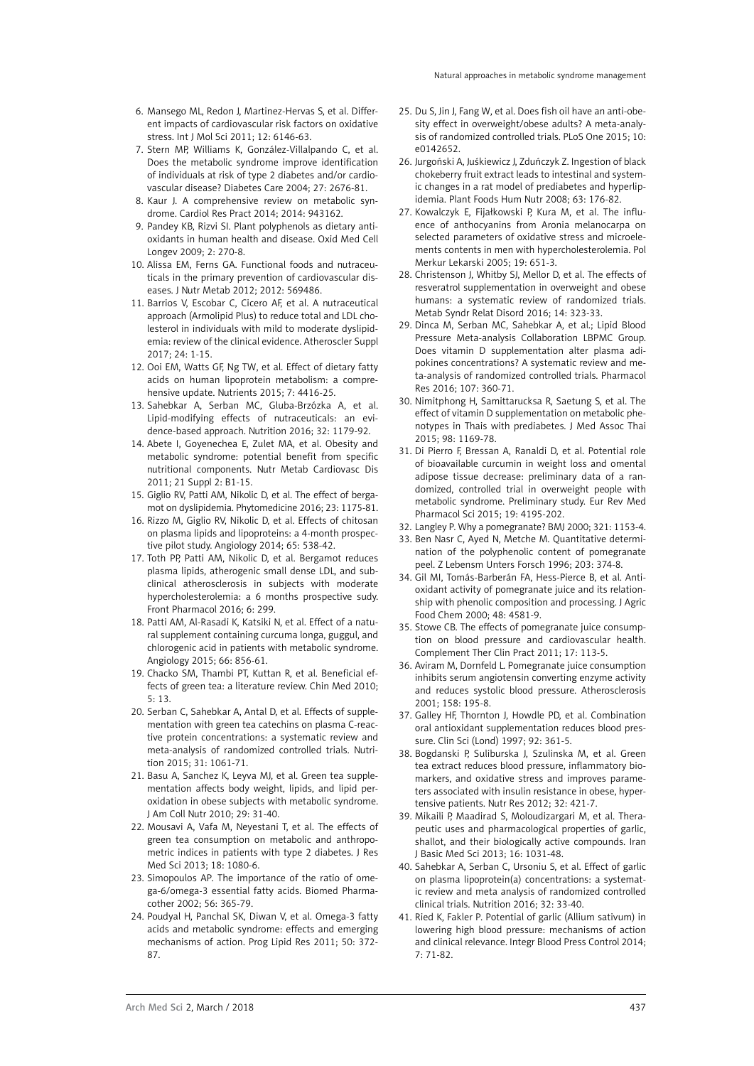- 6. Mansego ML, Redon J, Martinez-Hervas S, et al. Different impacts of cardiovascular risk factors on oxidative stress. Int J Mol Sci 2011; 12: 6146-63.
- 7. Stern MP, Williams K, González-Villalpando C, et al. Does the metabolic syndrome improve identification of individuals at risk of type 2 diabetes and/or cardiovascular disease? Diabetes Care 2004; 27: 2676-81.
- 8. Kaur J. A comprehensive review on metabolic syndrome. Cardiol Res Pract 2014; 2014: 943162.
- 9. Pandey KB, Rizvi SI. Plant polyphenols as dietary antioxidants in human health and disease. Oxid Med Cell Longev 2009; 2: 270-8.
- 10. Alissa EM, Ferns GA. Functional foods and nutraceuticals in the primary prevention of cardiovascular diseases. J Nutr Metab 2012; 2012: 569486.
- 11. Barrios V, Escobar C, Cicero AF, et al. A nutraceutical approach (Armolipid Plus) to reduce total and LDL cholesterol in individuals with mild to moderate dyslipidemia: review of the clinical evidence. Atheroscler Suppl 2017; 24: 1-15.
- 12. Ooi EM, Watts GF, Ng TW, et al. Effect of dietary fatty acids on human lipoprotein metabolism: a comprehensive update. Nutrients 2015; 7: 4416-25.
- 13. Sahebkar A, Serban MC, Gluba-Brzózka A, et al. Lipid-modifying effects of nutraceuticals: an evidence-based approach. Nutrition 2016; 32: 1179-92.
- 14. Abete I, Goyenechea E, Zulet MA, et al. Obesity and metabolic syndrome: potential benefit from specific nutritional components. Nutr Metab Cardiovasc Dis 2011; 21 Suppl 2: B1-15.
- 15. Giglio RV, Patti AM, Nikolic D, et al. The effect of bergamot on dyslipidemia. Phytomedicine 2016; 23: 1175-81.
- 16. Rizzo M, Giglio RV, Nikolic D, et al. Effects of chitosan on plasma lipids and lipoproteins: a 4-month prospective pilot study. Angiology 2014; 65: 538-42.
- 17. Toth PP, Patti AM, Nikolic D, et al. Bergamot reduces plasma lipids, atherogenic small dense LDL, and subclinical atherosclerosis in subjects with moderate hypercholesterolemia: a 6 months prospective sudy. Front Pharmacol 2016; 6: 299.
- 18. Patti AM, Al-Rasadi K, Katsiki N, et al. Effect of a natural supplement containing curcuma longa, guggul, and chlorogenic acid in patients with metabolic syndrome. Angiology 2015; 66: 856-61.
- 19. Chacko SM, Thambi PT, Kuttan R, et al. Beneficial effects of green tea: a literature review. Chin Med 2010; 5: 13.
- 20. Serban C, Sahebkar A, Antal D, et al. Effects of supplementation with green tea catechins on plasma C-reactive protein concentrations: a systematic review and meta-analysis of randomized controlled trials. Nutrition 2015; 31: 1061-71.
- 21. Basu A, Sanchez K, Leyva MJ, et al. Green tea supplementation affects body weight, lipids, and lipid peroxidation in obese subjects with metabolic syndrome. J Am Coll Nutr 2010; 29: 31-40.
- 22. Mousavi A, Vafa M, Neyestani T, et al. The effects of green tea consumption on metabolic and anthropometric indices in patients with type 2 diabetes. J Res Med Sci 2013; 18: 1080-6.
- 23. Simopoulos AP. The importance of the ratio of omega-6/omega-3 essential fatty acids. Biomed Pharmacother 2002; 56: 365-79.
- 24. Poudyal H, Panchal SK, Diwan V, et al. Omega-3 fatty acids and metabolic syndrome: effects and emerging mechanisms of action. Prog Lipid Res 2011; 50: 372- 87.
- 25. Du S, Jin J, Fang W, et al. Does fish oil have an anti-obesity effect in overweight/obese adults? A meta-analysis of randomized controlled trials. PLoS One 2015; 10: e0142652.
- 26. Jurgoński A, Juśkiewicz J, Zduńczyk Z. Ingestion of black chokeberry fruit extract leads to intestinal and systemic changes in a rat model of prediabetes and hyperlipidemia. Plant Foods Hum Nutr 2008; 63: 176-82.
- 27. Kowalczyk E, Fijałkowski P, Kura M, et al. The influence of anthocyanins from Aronia melanocarpa on selected parameters of oxidative stress and microelements contents in men with hypercholesterolemia. Pol Merkur Lekarski 2005; 19: 651-3.
- 28. Christenson J, Whitby SJ, Mellor D, et al. The effects of resveratrol supplementation in overweight and obese humans: a systematic review of randomized trials. Metab Syndr Relat Disord 2016; 14: 323-33.
- 29. Dinca M, Serban MC, Sahebkar A, et al.; Lipid Blood Pressure Meta-analysis Collaboration LBPMC Group. Does vitamin D supplementation alter plasma adipokines concentrations? A systematic review and meta-analysis of randomized controlled trials. Pharmacol Res 2016; 107: 360-71.
- 30. Nimitphong H, Samittarucksa R, Saetung S, et al. The effect of vitamin D supplementation on metabolic phenotypes in Thais with prediabetes. J Med Assoc Thai 2015; 98: 1169-78.
- 31. Di Pierro F, Bressan A, Ranaldi D, et al. Potential role of bioavailable curcumin in weight loss and omental adipose tissue decrease: preliminary data of a randomized, controlled trial in overweight people with metabolic syndrome. Preliminary study. Eur Rev Med Pharmacol Sci 2015; 19: 4195-202.
- 32. Langley P. Why a pomegranate? BMJ 2000; 321: 1153-4.
- 33. Ben Nasr C, Ayed N, Metche M. Quantitative determination of the polyphenolic content of pomegranate peel. Z Lebensm Unters Forsch 1996; 203: 374-8.
- 34. Gil MI, Tomás-Barberán FA, Hess-Pierce B, et al. Antioxidant activity of pomegranate juice and its relationship with phenolic composition and processing. J Agric Food Chem 2000; 48: 4581-9.
- 35. Stowe CB. The effects of pomegranate juice consumption on blood pressure and cardiovascular health. Complement Ther Clin Pract 2011; 17: 113-5.
- 36. Aviram M, Dornfeld L. Pomegranate juice consumption inhibits serum angiotensin converting enzyme activity and reduces systolic blood pressure. Atherosclerosis 2001; 158: 195-8.
- 37. Galley HF, Thornton J, Howdle PD, et al. Combination oral antioxidant supplementation reduces blood pressure. Clin Sci (Lond) 1997; 92: 361-5.
- 38. Bogdanski P, Suliburska J, Szulinska M, et al. Green tea extract reduces blood pressure, inflammatory biomarkers, and oxidative stress and improves parameters associated with insulin resistance in obese, hypertensive patients. Nutr Res 2012; 32: 421-7.
- 39. Mikaili P, Maadirad S, Moloudizargari M, et al. Therapeutic uses and pharmacological properties of garlic, shallot, and their biologically active compounds. Iran J Basic Med Sci 2013; 16: 1031-48.
- 40. Sahebkar A, Serban C, Ursoniu S, et al. Effect of garlic on plasma lipoprotein(a) concentrations: a systematic review and meta analysis of randomized controlled clinical trials. Nutrition 2016; 32: 33-40.
- 41. Ried K, Fakler P. Potential of garlic (Allium sativum) in lowering high blood pressure: mechanisms of action and clinical relevance. Integr Blood Press Control 2014; 7: 71-82.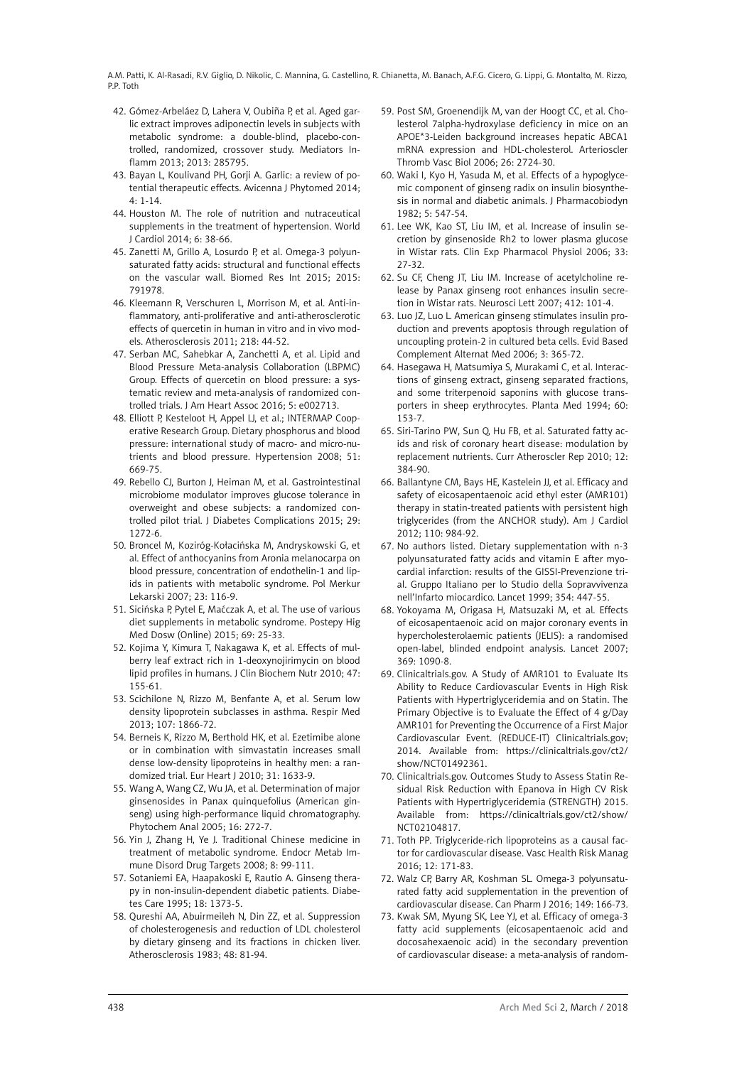- 42. Gómez-Arbeláez D, Lahera V, Oubiña P, et al. Aged garlic extract improves adiponectin levels in subjects with metabolic syndrome: a double-blind, placebo-controlled, randomized, crossover study. Mediators Inflamm 2013; 2013: 285795.
- 43. Bayan L, Koulivand PH, Gorji A. Garlic: a review of potential therapeutic effects. Avicenna J Phytomed 2014; 4: 1-14.
- 44. Houston M. The role of nutrition and nutraceutical supplements in the treatment of hypertension. World J Cardiol 2014; 6: 38-66.
- 45. Zanetti M, Grillo A, Losurdo P, et al. Omega-3 polyunsaturated fatty acids: structural and functional effects on the vascular wall. Biomed Res Int 2015; 2015: 791978.
- 46. Kleemann R, Verschuren L, Morrison M, et al. Anti-inflammatory, anti-proliferative and anti-atherosclerotic effects of quercetin in human in vitro and in vivo models. Atherosclerosis 2011; 218: 44-52.
- 47. Serban MC, Sahebkar A, Zanchetti A, et al. Lipid and Blood Pressure Meta-analysis Collaboration (LBPMC) Group. Effects of quercetin on blood pressure: a systematic review and meta-analysis of randomized controlled trials. J Am Heart Assoc 2016; 5: e002713.
- 48. Elliott P, Kesteloot H, Appel LJ, et al.; INTERMAP Cooperative Research Group. Dietary phosphorus and blood pressure: international study of macro- and micro-nutrients and blood pressure. Hypertension 2008; 51: 669-75.
- 49. Rebello CJ, Burton J, Heiman M, et al. Gastrointestinal microbiome modulator improves glucose tolerance in overweight and obese subjects: a randomized controlled pilot trial. J Diabetes Complications 2015; 29: 1272-6.
- 50. Broncel M, Koziróg-Kołacińska M, Andryskowski G, et al. Effect of anthocyanins from Aronia melanocarpa on blood pressure, concentration of endothelin-1 and lipids in patients with metabolic syndrome. Pol Merkur Lekarski 2007; 23: 116-9.
- 51. Sicińska P, Pytel E, Maćczak A, et al. The use of various diet supplements in metabolic syndrome. Postepy Hig Med Dosw (Online) 2015; 69: 25-33.
- 52. Kojima Y, Kimura T, Nakagawa K, et al. Effects of mulberry leaf extract rich in 1-deoxynojirimycin on blood lipid profiles in humans. J Clin Biochem Nutr 2010; 47: 155-61.
- 53. Scichilone N, Rizzo M, Benfante A, et al. Serum low density lipoprotein subclasses in asthma. Respir Med 2013; 107: 1866-72.
- 54. Berneis K, Rizzo M, Berthold HK, et al. Ezetimibe alone or in combination with simvastatin increases small dense low-density lipoproteins in healthy men: a randomized trial. Eur Heart J 2010; 31: 1633-9.
- 55. Wang A, Wang CZ, Wu JA, et al. Determination of major ginsenosides in Panax quinquefolius (American ginseng) using high-performance liquid chromatography. Phytochem Anal 2005; 16: 272-7.
- 56. Yin J, Zhang H, Ye J. Traditional Chinese medicine in treatment of metabolic syndrome. Endocr Metab Immune Disord Drug Targets 2008; 8: 99-111.
- 57. Sotaniemi EA, Haapakoski E, Rautio A. Ginseng therapy in non-insulin-dependent diabetic patients. Diabetes Care 1995; 18: 1373-5.
- 58. Qureshi AA, Abuirmeileh N, Din ZZ, et al. Suppression of cholesterogenesis and reduction of LDL cholesterol by dietary ginseng and its fractions in chicken liver. Atherosclerosis 1983; 48: 81-94.
- 59. Post SM, Groenendijk M, van der Hoogt CC, et al. Cholesterol 7alpha-hydroxylase deficiency in mice on an APOE\*3-Leiden background increases hepatic ABCA1 mRNA expression and HDL-cholesterol. Arterioscler Thromb Vasc Biol 2006; 26: 2724-30.
- 60. Waki I, Kyo H, Yasuda M, et al. Effects of a hypoglycemic component of ginseng radix on insulin biosynthesis in normal and diabetic animals. J Pharmacobiodyn 1982; 5: 547-54.
- 61. Lee WK, Kao ST, Liu IM, et al. Increase of insulin secretion by ginsenoside Rh2 to lower plasma glucose in Wistar rats. Clin Exp Pharmacol Physiol 2006; 33: 27-32.
- 62. Su CF, Cheng JT, Liu IM. Increase of acetylcholine release by Panax ginseng root enhances insulin secretion in Wistar rats. Neurosci Lett 2007; 412: 101-4.
- 63. Luo JZ, Luo L. American ginseng stimulates insulin production and prevents apoptosis through regulation of uncoupling protein-2 in cultured beta cells. Evid Based Complement Alternat Med 2006; 3: 365-72.
- 64. Hasegawa H, Matsumiya S, Murakami C, et al. Interactions of ginseng extract, ginseng separated fractions, and some triterpenoid saponins with glucose transporters in sheep erythrocytes. Planta Med 1994; 60: 153-7.
- 65. Siri-Tarino PW, Sun Q, Hu FB, et al. Saturated fatty acids and risk of coronary heart disease: modulation by replacement nutrients. Curr Atheroscler Rep 2010; 12: 384-90.
- 66. Ballantyne CM, Bays HE, Kastelein JJ, et al. Efficacy and safety of eicosapentaenoic acid ethyl ester (AMR101) therapy in statin-treated patients with persistent high triglycerides (from the ANCHOR study). Am J Cardiol 2012; 110: 984-92.
- 67. No authors listed. Dietary supplementation with n-3 polyunsaturated fatty acids and vitamin E after myocardial infarction: results of the GISSI-Prevenzione trial. Gruppo Italiano per lo Studio della Sopravvivenza nell'Infarto miocardico. Lancet 1999; 354: 447-55.
- 68. Yokoyama M, Origasa H, Matsuzaki M, et al. Effects of eicosapentaenoic acid on major coronary events in hypercholesterolaemic patients (JELIS): a randomised open-label, blinded endpoint analysis. Lancet 2007; 369: 1090-8.
- 69. Clinicaltrials.gov. A Study of AMR101 to Evaluate Its Ability to Reduce Cardiovascular Events in High Risk Patients with Hypertriglyceridemia and on Statin. The Primary Objective is to Evaluate the Effect of 4 g/Day AMR101 for Preventing the Occurrence of a First Major Cardiovascular Event. (REDUCE-IT) Clinicaltrials.gov; 2014. Available from: [https://clinicaltrials.gov/ct2/](https://clinicaltrials.gov/ct2/show/NCT01492361) [show/NCT01492361.](https://clinicaltrials.gov/ct2/show/NCT01492361)
- 70. Clinicaltrials.gov. Outcomes Study to Assess Statin Residual Risk Reduction with Epanova in High CV Risk Patients with Hypertriglyceridemia (STRENGTH) 2015. Available from: [https://clinicaltrials.gov/ct2/show/](https://clinicaltrials.gov/ct2/show/NCT02104817) [NCT02104817.](https://clinicaltrials.gov/ct2/show/NCT02104817)
- 71. Toth PP. Triglyceride-rich lipoproteins as a causal factor for cardiovascular disease. Vasc Health Risk Manag 2016; 12: 171-83.
- 72. Walz CP, Barry AR, Koshman SL. Omega-3 polyunsaturated fatty acid supplementation in the prevention of cardiovascular disease. Can Pharm J 2016; 149: 166-73.
- 73. Kwak SM, Myung SK, Lee YJ, et al. Efficacy of omega-3 fatty acid supplements (eicosapentaenoic acid and docosahexaenoic acid) in the secondary prevention of cardiovascular disease: a meta-analysis of random-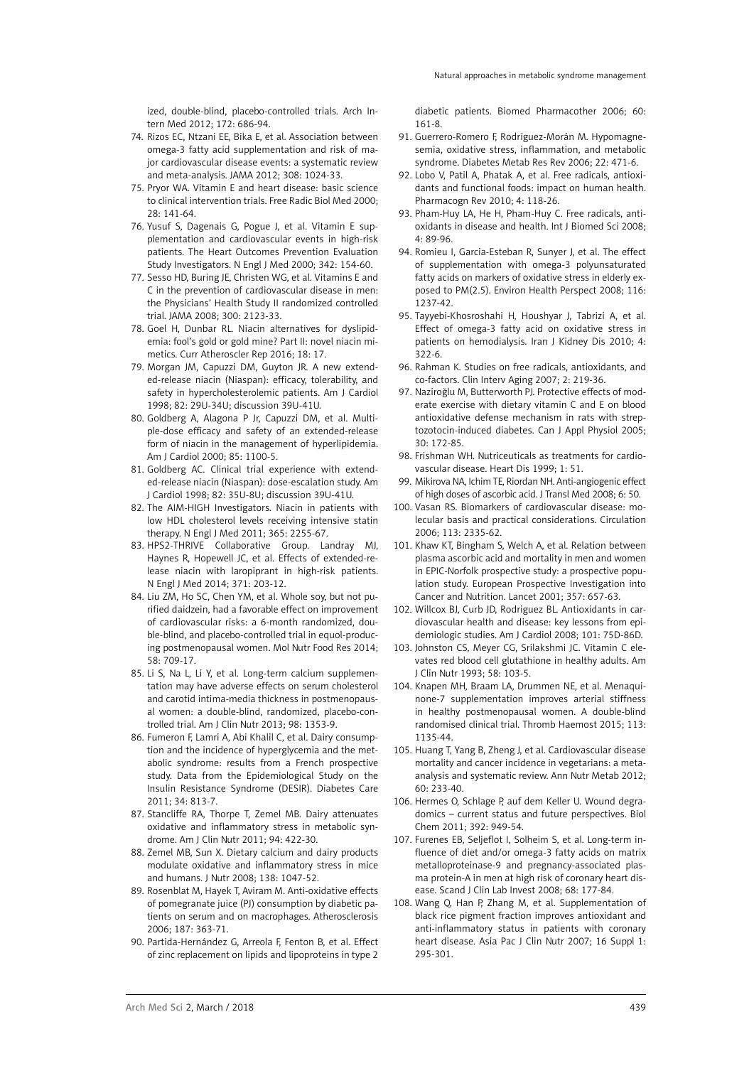ized, double-blind, placebo-controlled trials. Arch Intern Med 2012; 172: 686-94.

- 74. Rizos EC, Ntzani EE, Bika E, et al. Association between omega-3 fatty acid supplementation and risk of major cardiovascular disease events: a systematic review and meta-analysis. JAMA 2012; 308: 1024-33.
- 75. Pryor WA. Vitamin E and heart disease: basic science to clinical intervention trials. Free Radic Biol Med 2000; 28: 141-64.
- 76. Yusuf S, Dagenais G, Pogue J, et al. Vitamin E supplementation and cardiovascular events in high-risk patients. The Heart Outcomes Prevention Evaluation Study Investigators. N Engl J Med 2000; 342: 154-60.
- 77. Sesso HD, Buring JE, Christen WG, et al. Vitamins E and C in the prevention of cardiovascular disease in men: the Physicians' Health Study II randomized controlled trial. JAMA 2008; 300: 2123-33.
- 78. Goel H, Dunbar RL. Niacin alternatives for dyslipidemia: fool's gold or gold mine? Part II: novel niacin mimetics. Curr Atheroscler Rep 2016; 18: 17.
- 79. Morgan JM, Capuzzi DM, Guyton JR. A new extended-release niacin (Niaspan): efficacy, tolerability, and safety in hypercholesterolemic patients. Am J Cardiol 1998; 82: 29U-34U; discussion 39U-41U.
- 80. Goldberg A, Alagona P Jr, Capuzzi DM, et al. Multiple-dose efficacy and safety of an extended-release form of niacin in the management of hyperlipidemia. Am J Cardiol 2000; 85: 1100-5.
- 81. Goldberg AC. Clinical trial experience with extended-release niacin (Niaspan): dose-escalation study. Am J Cardiol 1998; 82: 35U-8U; discussion 39U-41U.
- 82. The AIM-HIGH Investigators. Niacin in patients with low HDL cholesterol levels receiving intensive statin therapy. N Engl J Med 2011; 365: 2255-67.
- 83. HPS2-THRIVE Collaborative Group. Landray MJ, Haynes R, Hopewell JC, et al. Effects of extended-release niacin with laropiprant in high-risk patients. N Engl J Med 2014; 371: 203-12.
- 84. Liu ZM, Ho SC, Chen YM, et al. Whole soy, but not purified daidzein, had a favorable effect on improvement of cardiovascular risks: a 6-month randomized, double-blind, and placebo-controlled trial in equol-producing postmenopausal women. Mol Nutr Food Res 2014; 58: 709-17.
- 85. Li S, Na L, Li Y, et al. Long-term calcium supplementation may have adverse effects on serum cholesterol and carotid intima-media thickness in postmenopausal women: a double-blind, randomized, placebo-controlled trial. Am J Clin Nutr 2013; 98: 1353-9.
- 86. Fumeron F, Lamri A, Abi Khalil C, et al. Dairy consumption and the incidence of hyperglycemia and the metabolic syndrome: results from a French prospective study. Data from the Epidemiological Study on the Insulin Resistance Syndrome (DESIR). Diabetes Care 2011; 34: 813-7.
- 87. Stancliffe RA, Thorpe T, Zemel MB. Dairy attenuates oxidative and inflammatory stress in metabolic syndrome. Am J Clin Nutr 2011; 94: 422-30.
- 88. Zemel MB, Sun X. Dietary calcium and dairy products modulate oxidative and inflammatory stress in mice and humans. J Nutr 2008; 138: 1047-52.
- 89. Rosenblat M, Hayek T, Aviram M. Anti-oxidative effects of pomegranate juice (PJ) consumption by diabetic patients on serum and on macrophages. Atherosclerosis 2006; 187: 363-71.
- 90. Partida-Hernández G, Arreola F, Fenton B, et al. Effect of zinc replacement on lipids and lipoproteins in type 2

diabetic patients. Biomed Pharmacother 2006; 60: 161-8.

- 91. Guerrero-Romero F, Rodríguez-Morán M. Hypomagnesemia, oxidative stress, inflammation, and metabolic syndrome. Diabetes Metab Res Rev 2006; 22: 471-6.
- 92. Lobo V, Patil A, Phatak A, et al. Free radicals, antioxidants and functional foods: impact on human health. Pharmacogn Rev 2010; 4: 118-26.
- 93. Pham-Huy LA, He H, Pham-Huy C. Free radicals, antioxidants in disease and health. Int J Biomed Sci 2008; 4: 89-96.
- 94. Romieu I, Garcia-Esteban R, Sunyer J, et al. The effect of supplementation with omega-3 polyunsaturated fatty acids on markers of oxidative stress in elderly exposed to PM(2.5). Environ Health Perspect 2008; 116: 1237-42.
- 95. Tayyebi-Khosroshahi H, Houshyar J, Tabrizi A, et al. Effect of omega-3 fatty acid on oxidative stress in patients on hemodialysis. Iran J Kidney Dis 2010; 4: 322-6.
- 96. Rahman K. Studies on free radicals, antioxidants, and co-factors. Clin Interv Aging 2007; 2: 219-36.
- 97. Naziroğlu M, Butterworth PJ. Protective effects of moderate exercise with dietary vitamin C and E on blood antioxidative defense mechanism in rats with streptozotocin-induced diabetes. Can J Appl Physiol 2005; 30: 172-85.
- 98. Frishman WH. Nutriceuticals as treatments for cardiovascular disease. Heart Dis 1999; 1: 51.
- 99. Mikirova NA, Ichim TE, Riordan NH. Anti-angiogenic effect of high doses of ascorbic acid. J Transl Med 2008; 6: 50.
- 100. Vasan RS. Biomarkers of cardiovascular disease: molecular basis and practical considerations. Circulation 2006; 113: 2335-62.
- 101. Khaw KT, Bingham S, Welch A, et al. Relation between plasma ascorbic acid and mortality in men and women in EPIC-Norfolk prospective study: a prospective population study. European Prospective Investigation into Cancer and Nutrition. Lancet 2001; 357: 657-63.
- 102. Willcox BJ, Curb JD, Rodriguez BL. Antioxidants in cardiovascular health and disease: key lessons from epidemiologic studies. Am J Cardiol 2008; 101: 75D-86D.
- 103. Johnston CS, Meyer CG, Srilakshmi JC. Vitamin C elevates red blood cell glutathione in healthy adults. Am J Clin Nutr 1993; 58: 103-5.
- 104. Knapen MH, Braam LA, Drummen NE, et al. Menaquinone-7 supplementation improves arterial stiffness in healthy postmenopausal women. A double-blind randomised clinical trial. Thromb Haemost 2015; 113: 1135-44.
- 105. Huang T, Yang B, Zheng J, et al. Cardiovascular disease mortality and cancer incidence in vegetarians: a metaanalysis and systematic review. Ann Nutr Metab 2012; 60: 233-40.
- 106. Hermes O, Schlage P, auf dem Keller U. Wound degradomics – current status and future perspectives. Biol Chem 2011; 392: 949-54.
- 107. Furenes EB, Seljeflot I, Solheim S, et al. Long-term influence of diet and/or omega-3 fatty acids on matrix metalloproteinase-9 and pregnancy-associated plasma protein-A in men at high risk of coronary heart disease. Scand J Clin Lab Invest 2008; 68: 177-84.
- 108. Wang Q, Han P, Zhang M, et al. Supplementation of black rice pigment fraction improves antioxidant and anti-inflammatory status in patients with coronary heart disease. Asia Pac J Clin Nutr 2007; 16 Suppl 1: 295-301.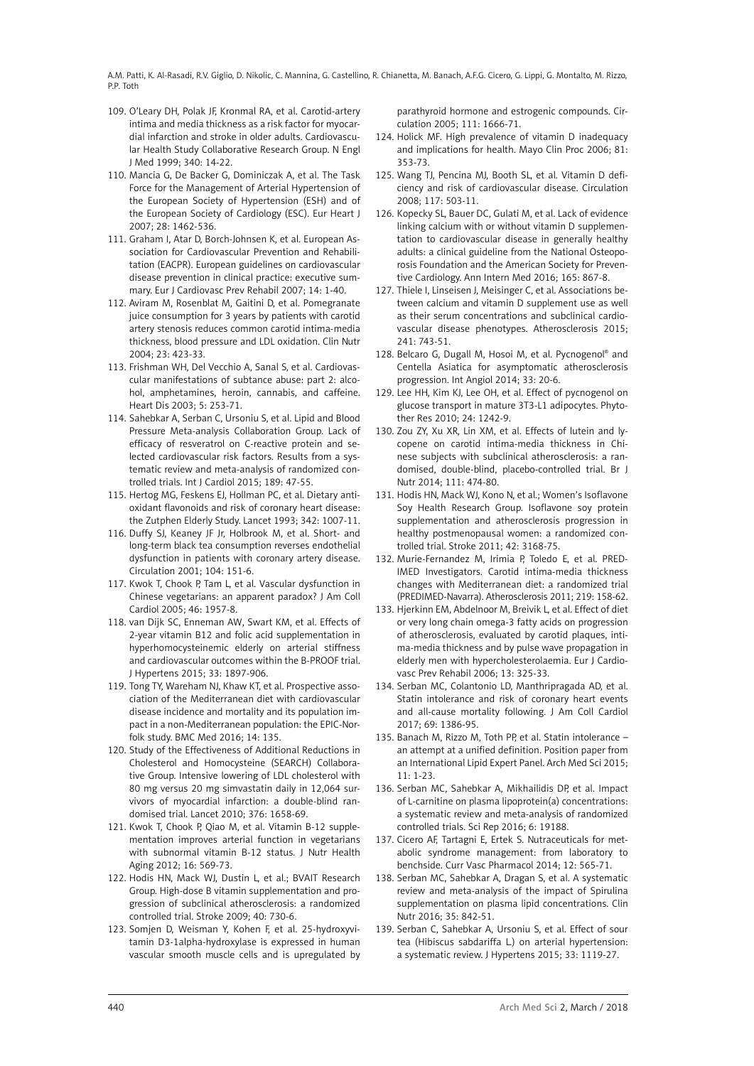- 109. O'Leary DH, Polak JF, Kronmal RA, et al. Carotid-artery intima and media thickness as a risk factor for myocardial infarction and stroke in older adults. Cardiovascular Health Study Collaborative Research Group. N Engl J Med 1999; 340: 14-22.
- 110. Mancia G, De Backer G, Dominiczak A, et al. The Task Force for the Management of Arterial Hypertension of the European Society of Hypertension (ESH) and of the European Society of Cardiology (ESC). Eur Heart J 2007; 28: 1462-536.
- 111. Graham I, Atar D, Borch-Johnsen K, et al. European Association for Cardiovascular Prevention and Rehabilitation (EACPR). European guidelines on cardiovascular disease prevention in clinical practice: executive summary. Eur J Cardiovasc Prev Rehabil 2007; 14: 1-40.
- 112. Aviram M, Rosenblat M, Gaitini D, et al. Pomegranate juice consumption for 3 years by patients with carotid artery stenosis reduces common carotid intima-media thickness, blood pressure and LDL oxidation. Clin Nutr 2004; 23: 423-33.
- 113. Frishman WH, Del Vecchio A, Sanal S, et al. Cardiovascular manifestations of subtance abuse: part 2: alcohol, amphetamines, heroin, cannabis, and caffeine. Heart Dis 2003; 5: 253-71.
- 114. Sahebkar A, Serban C, Ursoniu S, et al. Lipid and Blood Pressure Meta-analysis Collaboration Group. Lack of efficacy of resveratrol on C-reactive protein and selected cardiovascular risk factors. Results from a systematic review and meta-analysis of randomized controlled trials. Int J Cardiol 2015; 189: 47-55.
- 115. Hertog MG, Feskens EJ, Hollman PC, et al. Dietary antioxidant flavonoids and risk of coronary heart disease: the Zutphen Elderly Study. Lancet 1993; 342: 1007-11.
- 116. Duffy SJ, Keaney JF Jr, Holbrook M, et al. Short- and long-term black tea consumption reverses endothelial dysfunction in patients with coronary artery disease. Circulation 2001; 104: 151-6.
- 117. Kwok T, Chook P, Tam L, et al. Vascular dysfunction in Chinese vegetarians: an apparent paradox? J Am Coll Cardiol 2005; 46: 1957-8.
- 118. van Dijk SC, Enneman AW, Swart KM, et al. Effects of 2-year vitamin B12 and folic acid supplementation in hyperhomocysteinemic elderly on arterial stiffness and cardiovascular outcomes within the B-PROOF trial. J Hypertens 2015; 33: 1897-906.
- 119. Tong TY, Wareham NJ, Khaw KT, et al. Prospective association of the Mediterranean diet with cardiovascular disease incidence and mortality and its population impact in a non-Mediterranean population: the EPIC-Norfolk study. BMC Med 2016; 14: 135.
- 120. Study of the Effectiveness of Additional Reductions in Cholesterol and Homocysteine (SEARCH) Collaborative Group. Intensive lowering of LDL cholesterol with 80 mg versus 20 mg simvastatin daily in 12,064 survivors of myocardial infarction: a double-blind randomised trial. Lancet 2010; 376: 1658-69.
- 121. Kwok T, Chook P, Qiao M, et al. Vitamin B-12 supplementation improves arterial function in vegetarians with subnormal vitamin B-12 status. J Nutr Health Aging 2012; 16: 569-73.
- 122. Hodis HN, Mack WJ, Dustin L, et al.; BVAIT Research Group. High-dose B vitamin supplementation and progression of subclinical atherosclerosis: a randomized controlled trial. Stroke 2009; 40: 730-6.
- 123. Somjen D, Weisman Y, Kohen F, et al. 25-hydroxyvitamin D3-1alpha-hydroxylase is expressed in human vascular smooth muscle cells and is upregulated by

parathyroid hormone and estrogenic compounds. Circulation 2005; 111: 1666-71.

- 124. Holick MF. High prevalence of vitamin D inadequacy and implications for health. Mayo Clin Proc 2006; 81: 353-73.
- 125. Wang TJ, Pencina MJ, Booth SL, et al. Vitamin D deficiency and risk of cardiovascular disease. Circulation 2008; 117: 503-11.
- 126. Kopecky SL, Bauer DC, Gulati M, et al. Lack of evidence linking calcium with or without vitamin D supplementation to cardiovascular disease in generally healthy adults: a clinical guideline from the National Osteoporosis Foundation and the American Society for Preventive Cardiology. Ann Intern Med 2016; 165: 867-8.
- 127. Thiele I, Linseisen J, Meisinger C, et al. Associations between calcium and vitamin D supplement use as well as their serum concentrations and subclinical cardiovascular disease phenotypes. Atherosclerosis 2015; 241: 743-51.
- 128. Belcaro G, Dugall M, Hosoi M, et al. Pycnogenol® and Centella Asiatica for asymptomatic atherosclerosis progression. Int Angiol 2014; 33: 20-6.
- 129. Lee HH, Kim KJ, Lee OH, et al. Effect of pycnogenol on glucose transport in mature 3T3-L1 adipocytes. Phytother Res 2010; 24: 1242-9.
- 130. Zou ZY, Xu XR, Lin XM, et al. Effects of lutein and lycopene on carotid intima-media thickness in Chinese subjects with subclinical atherosclerosis: a randomised, double-blind, placebo-controlled trial. Br J Nutr 2014; 111: 474-80.
- 131. Hodis HN, Mack WJ, Kono N, et al.; Women's Isoflavone Soy Health Research Group. Isoflavone soy protein supplementation and atherosclerosis progression in healthy postmenopausal women: a randomized controlled trial. Stroke 2011; 42: 3168-75.
- 132. Murie-Fernandez M, Irimia P, Toledo E, et al. PRED-IMED Investigators. Carotid intima-media thickness changes with Mediterranean diet: a randomized trial (PREDIMED-Navarra). Atherosclerosis 2011; 219: 158-62.
- 133. Hjerkinn EM, Abdelnoor M, Breivik L, et al. Effect of diet or very long chain omega-3 fatty acids on progression of atherosclerosis, evaluated by carotid plaques, intima-media thickness and by pulse wave propagation in elderly men with hypercholesterolaemia. Eur J Cardiovasc Prev Rehabil 2006; 13: 325-33.
- 134. Serban MC, Colantonio LD, Manthripragada AD, et al. Statin intolerance and risk of coronary heart events and all-cause mortality following. J Am Coll Cardiol 2017; 69: 1386-95.
- 135. Banach M, Rizzo M, Toth PP, et al. Statin intolerance an attempt at a unified definition. Position paper from an International Lipid Expert Panel. Arch Med Sci 2015;  $11 \cdot 1 - 23$
- 136. Serban MC, Sahebkar A, Mikhailidis DP, et al. Impact of L-carnitine on plasma lipoprotein(a) concentrations: a systematic review and meta-analysis of randomized controlled trials. Sci Rep 2016; 6: 19188.
- 137. Cicero AF, Tartagni E, Ertek S. Nutraceuticals for metabolic syndrome management: from laboratory to benchside. Curr Vasc Pharmacol 2014; 12: 565-71.
- 138. Serban MC, Sahebkar A, Dragan S, et al. A systematic review and meta-analysis of the impact of Spirulina supplementation on plasma lipid concentrations. Clin Nutr 2016; 35: 842-51.
- 139. Serban C, Sahebkar A, Ursoniu S, et al. Effect of sour tea (Hibiscus sabdariffa L.) on arterial hypertension: a systematic review. J Hypertens 2015; 33: 1119-27.